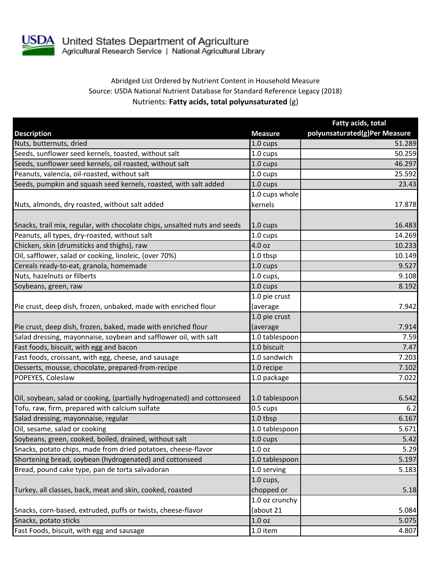

## Abridged List Ordered by Nutrient Content in Household Measure Source: USDA National Nutrient Database for Standard Reference Legacy (2018) Nutrients: **Fatty acids, total polyunsaturated** (g)

|                                                                           |                           | Fatty acids, total            |
|---------------------------------------------------------------------------|---------------------------|-------------------------------|
| <b>Description</b>                                                        | <b>Measure</b>            | polyunsaturated(g)Per Measure |
| Nuts, butternuts, dried                                                   | 1.0 cups                  | 51.289                        |
| Seeds, sunflower seed kernels, toasted, without salt                      | 1.0 cups                  | 50.259                        |
| Seeds, sunflower seed kernels, oil roasted, without salt                  | 1.0 cups                  | 46.297                        |
| Peanuts, valencia, oil-roasted, without salt                              | 1.0 cups                  | 25.592                        |
| Seeds, pumpkin and squash seed kernels, roasted, with salt added          | 1.0 cups                  | 23.43                         |
| Nuts, almonds, dry roasted, without salt added                            | 1.0 cups whole<br>kernels | 17.878                        |
| Snacks, trail mix, regular, with chocolate chips, unsalted nuts and seeds | $1.0 \text{ cups}$        | 16.483                        |
| Peanuts, all types, dry-roasted, without salt                             | 1.0 cups                  | 14.269                        |
| Chicken, skin (drumsticks and thighs), raw                                | 4.0 oz                    | 10.233                        |
| Oil, safflower, salad or cooking, linoleic, (over 70%)                    | 1.0 tbsp                  | 10.149                        |
| Cereals ready-to-eat, granola, homemade                                   | 1.0 cups                  | 9.527                         |
| Nuts, hazelnuts or filberts                                               | $1.0$ cups,               | 9.108                         |
| Soybeans, green, raw                                                      | 1.0 cups                  | 8.192                         |
|                                                                           | 1.0 pie crust             |                               |
| Pie crust, deep dish, frozen, unbaked, made with enriched flour           | (average                  | 7.942                         |
|                                                                           | 1.0 pie crust             |                               |
| Pie crust, deep dish, frozen, baked, made with enriched flour             | (average                  | 7.914                         |
| Salad dressing, mayonnaise, soybean and safflower oil, with salt          | 1.0 tablespoon            | 7.59                          |
| Fast foods, biscuit, with egg and bacon                                   | 1.0 biscuit               | 7.47                          |
| Fast foods, croissant, with egg, cheese, and sausage                      | 1.0 sandwich              | 7.203                         |
| Desserts, mousse, chocolate, prepared-from-recipe                         | 1.0 recipe                | 7.102                         |
| POPEYES, Coleslaw                                                         | 1.0 package               | 7.022                         |
| Oil, soybean, salad or cooking, (partially hydrogenated) and cottonseed   | 1.0 tablespoon            | 6.542                         |
| Tofu, raw, firm, prepared with calcium sulfate                            | 0.5 cups                  | 6.2                           |
| Salad dressing, mayonnaise, regular                                       | 1.0 tbsp                  | 6.167                         |
| Oil, sesame, salad or cooking                                             | 1.0 tablespoon            | 5.671                         |
| Soybeans, green, cooked, boiled, drained, without salt                    | $1.0 \text{ cups}$        | 5.42                          |
| Snacks, potato chips, made from dried potatoes, cheese-flavor             | 1.0 <sub>oz</sub>         | 5.29                          |
| Shortening bread, soybean (hydrogenated) and cottonseed                   | 1.0 tablespoon            | 5.197                         |
| Bread, pound cake type, pan de torta salvadoran                           | 1.0 serving               | 5.183                         |
|                                                                           | $1.0$ cups,               |                               |
| Turkey, all classes, back, meat and skin, cooked, roasted                 | chopped or                | 5.18                          |
|                                                                           | 1.0 oz crunchy            |                               |
| Snacks, corn-based, extruded, puffs or twists, cheese-flavor              | (about 21                 | 5.084                         |
| Snacks, potato sticks                                                     | 1.0 <sub>oz</sub>         | 5.075                         |
| Fast Foods, biscuit, with egg and sausage                                 | 1.0 item                  | 4.807                         |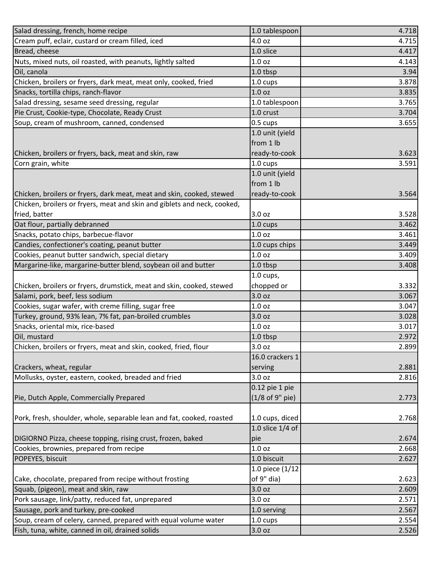| Salad dressing, french, home recipe                                      | 1.0 tablespoon    | 4.718 |
|--------------------------------------------------------------------------|-------------------|-------|
| Cream puff, eclair, custard or cream filled, iced                        | 4.0 oz            | 4.715 |
| Bread, cheese                                                            | 1.0 slice         | 4.417 |
| Nuts, mixed nuts, oil roasted, with peanuts, lightly salted              | 1.0 <sub>oz</sub> | 4.143 |
| Oil, canola                                                              | 1.0 tbsp          | 3.94  |
| Chicken, broilers or fryers, dark meat, meat only, cooked, fried         | 1.0 cups          | 3.878 |
| Snacks, tortilla chips, ranch-flavor                                     | 1.0 <sub>oz</sub> | 3.835 |
| Salad dressing, sesame seed dressing, regular                            | 1.0 tablespoon    | 3.765 |
| Pie Crust, Cookie-type, Chocolate, Ready Crust                           | 1.0 crust         | 3.704 |
| Soup, cream of mushroom, canned, condensed                               | 0.5 cups          | 3.655 |
|                                                                          | 1.0 unit (yield   |       |
|                                                                          | from 1 lb         |       |
| Chicken, broilers or fryers, back, meat and skin, raw                    | ready-to-cook     | 3.623 |
| Corn grain, white                                                        | 1.0 cups          | 3.591 |
|                                                                          | 1.0 unit (yield   |       |
|                                                                          | from 1 lb         |       |
| Chicken, broilers or fryers, dark meat, meat and skin, cooked, stewed    | ready-to-cook     | 3.564 |
| Chicken, broilers or fryers, meat and skin and giblets and neck, cooked, |                   |       |
| fried, batter                                                            | 3.0 oz            | 3.528 |
| Oat flour, partially debranned                                           | 1.0 cups          | 3.462 |
| Snacks, potato chips, barbecue-flavor                                    | 1.0 <sub>oz</sub> | 3.461 |
| Candies, confectioner's coating, peanut butter                           | 1.0 cups chips    | 3.449 |
| Cookies, peanut butter sandwich, special dietary                         | 1.0 <sub>oz</sub> | 3.409 |
| Margarine-like, margarine-butter blend, soybean oil and butter           | 1.0 tbsp          | 3.408 |
|                                                                          | $1.0$ cups,       |       |
| Chicken, broilers or fryers, drumstick, meat and skin, cooked, stewed    | chopped or        | 3.332 |
| Salami, pork, beef, less sodium                                          | 3.0 oz            | 3.067 |
| Cookies, sugar wafer, with creme filling, sugar free                     | 1.0 <sub>oz</sub> | 3.047 |
| Turkey, ground, 93% lean, 7% fat, pan-broiled crumbles                   | 3.0 <sub>oz</sub> | 3.028 |
| Snacks, oriental mix, rice-based                                         | 1.0 <sub>oz</sub> | 3.017 |
| Oil, mustard                                                             | 1.0 tbsp          | 2.972 |
| Chicken, broilers or fryers, meat and skin, cooked, fried, flour         | 3.0 oz            | 2.899 |
|                                                                          | 16.0 crackers 1   |       |
| Crackers, wheat, regular                                                 | serving           | 2.881 |
| Mollusks, oyster, eastern, cooked, breaded and fried                     | 3.0 oz            | 2.816 |
|                                                                          | 0.12 pie 1 pie    |       |
| Pie, Dutch Apple, Commercially Prepared                                  | (1/8 of 9" pie)   | 2.773 |
|                                                                          |                   |       |
| Pork, fresh, shoulder, whole, separable lean and fat, cooked, roasted    | 1.0 cups, diced   | 2.768 |
|                                                                          | 1.0 slice 1/4 of  |       |
| DIGIORNO Pizza, cheese topping, rising crust, frozen, baked              | pie               | 2.674 |
| Cookies, brownies, prepared from recipe                                  | 1.0 <sub>oz</sub> | 2.668 |
| POPEYES, biscuit                                                         | 1.0 biscuit       | 2.627 |
|                                                                          | 1.0 piece (1/12   |       |
| Cake, chocolate, prepared from recipe without frosting                   | of 9" dia)        | 2.623 |
| Squab, (pigeon), meat and skin, raw                                      | 3.0 oz            | 2.609 |
| Pork sausage, link/patty, reduced fat, unprepared                        | 3.0 oz            | 2.571 |
| Sausage, pork and turkey, pre-cooked                                     | 1.0 serving       | 2.567 |
| Soup, cream of celery, canned, prepared with equal volume water          | 1.0 cups          | 2.554 |
| Fish, tuna, white, canned in oil, drained solids                         | 3.0 oz            | 2.526 |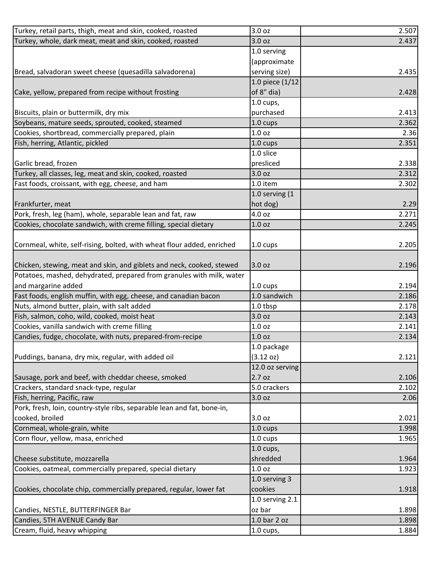| Turkey, retail parts, thigh, meat and skin, cooked, roasted             | 3.0 oz               | 2.507 |
|-------------------------------------------------------------------------|----------------------|-------|
| Turkey, whole, dark meat, meat and skin, cooked, roasted                | 3.0 oz               | 2.437 |
|                                                                         | 1.0 serving          |       |
|                                                                         | (approximate         |       |
| Bread, salvadoran sweet cheese (quesadilla salvadorena)                 | serving size)        | 2.435 |
|                                                                         | 1.0 piece (1/12      |       |
| Cake, yellow, prepared from recipe without frosting                     | of 8" dia)           | 2.428 |
|                                                                         | $1.0 \text{ cups}$ , |       |
| Biscuits, plain or buttermilk, dry mix                                  | purchased            | 2.413 |
| Soybeans, mature seeds, sprouted, cooked, steamed                       | 1.0 cups             | 2.362 |
| Cookies, shortbread, commercially prepared, plain                       | 1.0 <sub>oz</sub>    | 2.36  |
| Fish, herring, Atlantic, pickled                                        | 1.0 cups             | 2.351 |
|                                                                         | 1.0 slice            |       |
| Garlic bread, frozen                                                    | presliced            | 2.338 |
| Turkey, all classes, leg, meat and skin, cooked, roasted                | 3.0 oz               | 2.312 |
| Fast foods, croissant, with egg, cheese, and ham                        | 1.0 item             | 2.302 |
|                                                                         | 1.0 serving (1       |       |
| Frankfurter, meat                                                       | hot dog)             | 2.29  |
| Pork, fresh, leg (ham), whole, separable lean and fat, raw              | 4.0 oz               | 2.271 |
| Cookies, chocolate sandwich, with creme filling, special dietary        | 1.0 <sub>oz</sub>    | 2.245 |
|                                                                         |                      |       |
| Cornmeal, white, self-rising, bolted, with wheat flour added, enriched  | 1.0 cups             | 2.205 |
|                                                                         |                      |       |
| Chicken, stewing, meat and skin, and giblets and neck, cooked, stewed   | 3.0 oz               | 2.196 |
| Potatoes, mashed, dehydrated, prepared from granules with milk, water   |                      |       |
| and margarine added                                                     | 1.0 cups             | 2.194 |
| Fast foods, english muffin, with egg, cheese, and canadian bacon        | 1.0 sandwich         | 2.186 |
| Nuts, almond butter, plain, with salt added                             | 1.0 tbsp             | 2.178 |
| Fish, salmon, coho, wild, cooked, moist heat                            | 3.0 oz               | 2.143 |
| Cookies, vanilla sandwich with creme filling                            | 1.0 <sub>oz</sub>    | 2.141 |
| Candies, fudge, chocolate, with nuts, prepared-from-recipe              | 1.0 oz               | 2.134 |
|                                                                         | 1.0 package          |       |
| Puddings, banana, dry mix, regular, with added oil                      | (3.12 oz)            | 2.121 |
|                                                                         | 12.0 oz serving      |       |
| Sausage, pork and beef, with cheddar cheese, smoked                     | 2.7 oz               | 2.106 |
| Crackers, standard snack-type, regular                                  | 5.0 crackers         | 2.102 |
| Fish, herring, Pacific, raw                                             | 3.0 oz               | 2.06  |
| Pork, fresh, loin, country-style ribs, separable lean and fat, bone-in, |                      |       |
| cooked, broiled                                                         | 3.0 oz               | 2.021 |
| Cornmeal, whole-grain, white                                            | $1.0 \text{ cups}$   | 1.998 |
| Corn flour, yellow, masa, enriched                                      | 1.0 cups             | 1.965 |
|                                                                         | $1.0$ cups,          |       |
| Cheese substitute, mozzarella                                           | shredded             | 1.964 |
| Cookies, oatmeal, commercially prepared, special dietary                | 1.0 <sub>oz</sub>    | 1.923 |
|                                                                         | 1.0 serving 3        |       |
| Cookies, chocolate chip, commercially prepared, regular, lower fat      | cookies              | 1.918 |
|                                                                         | 1.0 serving 2.1      |       |
| Candies, NESTLE, BUTTERFINGER Bar                                       | oz bar               | 1.898 |
| Candies, 5TH AVENUE Candy Bar                                           | 1.0 bar 2 oz         | 1.898 |
| Cream, fluid, heavy whipping                                            | $1.0$ cups,          | 1.884 |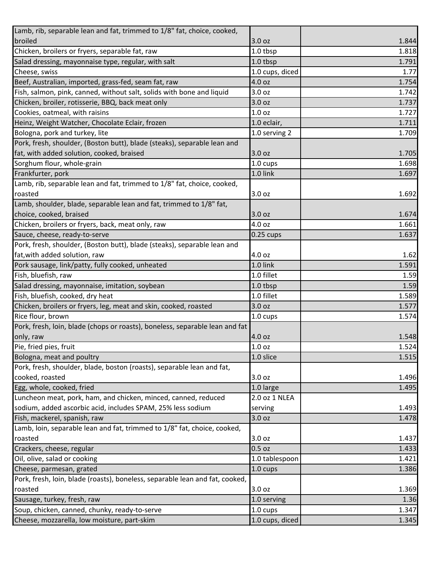| Lamb, rib, separable lean and fat, trimmed to 1/8" fat, choice, cooked,      |                    |       |
|------------------------------------------------------------------------------|--------------------|-------|
| broiled                                                                      | 3.0 <sub>oz</sub>  | 1.844 |
| Chicken, broilers or fryers, separable fat, raw                              | 1.0 tbsp           | 1.818 |
| Salad dressing, mayonnaise type, regular, with salt                          | 1.0 tbsp           | 1.791 |
| Cheese, swiss                                                                | 1.0 cups, diced    | 1.77  |
| Beef, Australian, imported, grass-fed, seam fat, raw                         | 4.0 oz             | 1.754 |
| Fish, salmon, pink, canned, without salt, solids with bone and liquid        | 3.0 oz             | 1.742 |
| Chicken, broiler, rotisserie, BBQ, back meat only                            | 3.0 <sub>oz</sub>  | 1.737 |
| Cookies, oatmeal, with raisins                                               | 1.0 <sub>oz</sub>  | 1.727 |
| Heinz, Weight Watcher, Chocolate Eclair, frozen                              | 1.0 eclair,        | 1.711 |
| Bologna, pork and turkey, lite                                               | 1.0 serving 2      | 1.709 |
| Pork, fresh, shoulder, (Boston butt), blade (steaks), separable lean and     |                    |       |
| fat, with added solution, cooked, braised                                    | 3.0 oz             | 1.705 |
| Sorghum flour, whole-grain                                                   | 1.0 cups           | 1.698 |
| Frankfurter, pork                                                            | 1.0 link           | 1.697 |
| Lamb, rib, separable lean and fat, trimmed to 1/8" fat, choice, cooked,      |                    |       |
| roasted                                                                      | 3.0 oz             | 1.692 |
| Lamb, shoulder, blade, separable lean and fat, trimmed to 1/8" fat,          |                    |       |
| choice, cooked, braised                                                      | 3.0 oz             | 1.674 |
| Chicken, broilers or fryers, back, meat only, raw                            | 4.0 oz             | 1.661 |
| Sauce, cheese, ready-to-serve                                                | $0.25$ cups        | 1.637 |
| Pork, fresh, shoulder, (Boston butt), blade (steaks), separable lean and     |                    |       |
| fat, with added solution, raw                                                | 4.0 oz             | 1.62  |
| Pork sausage, link/patty, fully cooked, unheated                             | 1.0 link           | 1.591 |
| Fish, bluefish, raw                                                          | 1.0 fillet         | 1.59  |
| Salad dressing, mayonnaise, imitation, soybean                               | 1.0 tbsp           | 1.59  |
| Fish, bluefish, cooked, dry heat                                             | 1.0 fillet         | 1.589 |
| Chicken, broilers or fryers, leg, meat and skin, cooked, roasted             | 3.0 <sub>oz</sub>  | 1.577 |
| Rice flour, brown                                                            | 1.0 cups           | 1.574 |
| Pork, fresh, loin, blade (chops or roasts), boneless, separable lean and fat |                    |       |
| only, raw                                                                    | 4.0 oz             | 1.548 |
| Pie, fried pies, fruit                                                       | 1.0 oz             | 1.524 |
| Bologna, meat and poultry                                                    | 1.0 slice          | 1.515 |
| Pork, fresh, shoulder, blade, boston (roasts), separable lean and fat,       |                    |       |
| cooked, roasted                                                              | 3.0 oz             | 1.496 |
| Egg, whole, cooked, fried                                                    | 1.0 large          | 1.495 |
| Luncheon meat, pork, ham, and chicken, minced, canned, reduced               | 2.0 oz 1 NLEA      |       |
| sodium, added ascorbic acid, includes SPAM, 25% less sodium                  | serving            | 1.493 |
| Fish, mackerel, spanish, raw                                                 | 3.0 oz             | 1.478 |
| Lamb, loin, separable lean and fat, trimmed to 1/8" fat, choice, cooked,     |                    |       |
| roasted                                                                      | 3.0 oz             | 1.437 |
| Crackers, cheese, regular                                                    | 0.5 oz             | 1.433 |
| Oil, olive, salad or cooking                                                 | 1.0 tablespoon     | 1.421 |
| Cheese, parmesan, grated                                                     | 1.0 cups           | 1.386 |
| Pork, fresh, loin, blade (roasts), boneless, separable lean and fat, cooked, |                    |       |
| roasted                                                                      | 3.0 oz             | 1.369 |
| Sausage, turkey, fresh, raw                                                  | 1.0 serving        | 1.36  |
| Soup, chicken, canned, chunky, ready-to-serve                                | $1.0 \text{ cups}$ | 1.347 |
| Cheese, mozzarella, low moisture, part-skim                                  | 1.0 cups, diced    | 1.345 |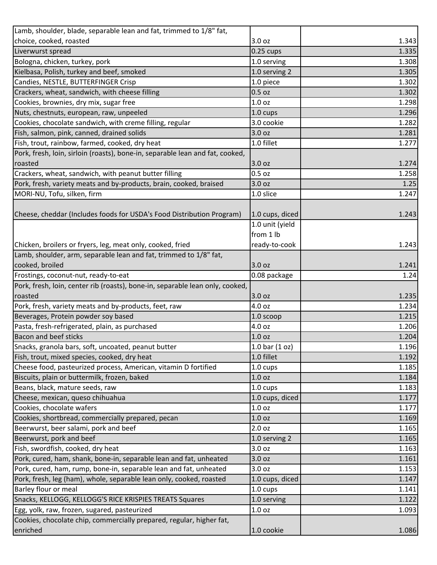| Lamb, shoulder, blade, separable lean and fat, trimmed to 1/8" fat,           |                    |       |
|-------------------------------------------------------------------------------|--------------------|-------|
| choice, cooked, roasted                                                       | 3.0 oz             | 1.343 |
| Liverwurst spread                                                             | $0.25$ cups        | 1.335 |
| Bologna, chicken, turkey, pork                                                | 1.0 serving        | 1.308 |
| Kielbasa, Polish, turkey and beef, smoked                                     | 1.0 serving 2      | 1.305 |
| Candies, NESTLE, BUTTERFINGER Crisp                                           | 1.0 piece          | 1.302 |
| Crackers, wheat, sandwich, with cheese filling                                | 0.5 oz             | 1.302 |
| Cookies, brownies, dry mix, sugar free                                        | 1.0 <sub>oz</sub>  | 1.298 |
| Nuts, chestnuts, european, raw, unpeeled                                      | $1.0 \text{ cups}$ | 1.296 |
| Cookies, chocolate sandwich, with creme filling, regular                      | 3.0 cookie         | 1.282 |
| Fish, salmon, pink, canned, drained solids                                    | 3.0 oz             | 1.281 |
| Fish, trout, rainbow, farmed, cooked, dry heat                                | 1.0 fillet         | 1.277 |
| Pork, fresh, loin, sirloin (roasts), bone-in, separable lean and fat, cooked, |                    |       |
| roasted                                                                       | 3.0 oz             | 1.274 |
| Crackers, wheat, sandwich, with peanut butter filling                         | 0.5 <sub>oz</sub>  | 1.258 |
| Pork, fresh, variety meats and by-products, brain, cooked, braised            | 3.0 oz             | 1.25  |
| MORI-NU, Tofu, silken, firm                                                   | 1.0 slice          | 1.247 |
|                                                                               |                    |       |
| Cheese, cheddar (Includes foods for USDA's Food Distribution Program)         | 1.0 cups, diced    | 1.243 |
|                                                                               | 1.0 unit (yield    |       |
|                                                                               | from 1 lb          |       |
| Chicken, broilers or fryers, leg, meat only, cooked, fried                    | ready-to-cook      | 1.243 |
| Lamb, shoulder, arm, separable lean and fat, trimmed to 1/8" fat,             |                    |       |
| cooked, broiled                                                               | 3.0 oz             | 1.241 |
| Frostings, coconut-nut, ready-to-eat                                          | 0.08 package       | 1.24  |
| Pork, fresh, loin, center rib (roasts), bone-in, separable lean only, cooked, |                    |       |
| roasted                                                                       | 3.0 oz             | 1.235 |
| Pork, fresh, variety meats and by-products, feet, raw                         | 4.0 oz             | 1.234 |
| Beverages, Protein powder soy based                                           | 1.0 scoop          | 1.215 |
| Pasta, fresh-refrigerated, plain, as purchased                                | 4.0 oz             | 1.206 |
| <b>Bacon and beef sticks</b>                                                  | 1.0 <sub>oz</sub>  | 1.204 |
| Snacks, granola bars, soft, uncoated, peanut butter                           | 1.0 bar $(1 oz)$   | 1.196 |
| Fish, trout, mixed species, cooked, dry heat                                  | 1.0 fillet         | 1.192 |
| Cheese food, pasteurized process, American, vitamin D fortified               | $1.0 \text{ cups}$ | 1.185 |
| Biscuits, plain or buttermilk, frozen, baked                                  | 1.0 <sub>oz</sub>  | 1.184 |
| Beans, black, mature seeds, raw                                               | 1.0 cups           | 1.183 |
| Cheese, mexican, queso chihuahua                                              | 1.0 cups, diced    | 1.177 |
| Cookies, chocolate wafers                                                     | 1.0 <sub>oz</sub>  | 1.177 |
| Cookies, shortbread, commercially prepared, pecan                             | 1.0 <sub>oz</sub>  | 1.169 |
| Beerwurst, beer salami, pork and beef                                         | 2.0 <sub>oz</sub>  | 1.165 |
| Beerwurst, pork and beef                                                      | 1.0 serving 2      | 1.165 |
| Fish, swordfish, cooked, dry heat                                             | 3.0 oz             | 1.163 |
| Pork, cured, ham, shank, bone-in, separable lean and fat, unheated            | 3.0 oz             | 1.161 |
| Pork, cured, ham, rump, bone-in, separable lean and fat, unheated             | 3.0 oz             | 1.153 |
| Pork, fresh, leg (ham), whole, separable lean only, cooked, roasted           | 1.0 cups, diced    | 1.147 |
| Barley flour or meal                                                          | 1.0 cups           | 1.141 |
| Snacks, KELLOGG, KELLOGG'S RICE KRISPIES TREATS Squares                       | 1.0 serving        | 1.122 |
| Egg, yolk, raw, frozen, sugared, pasteurized                                  | 1.0 oz             | 1.093 |
| Cookies, chocolate chip, commercially prepared, regular, higher fat,          |                    |       |
| enriched                                                                      | 1.0 cookie         | 1.086 |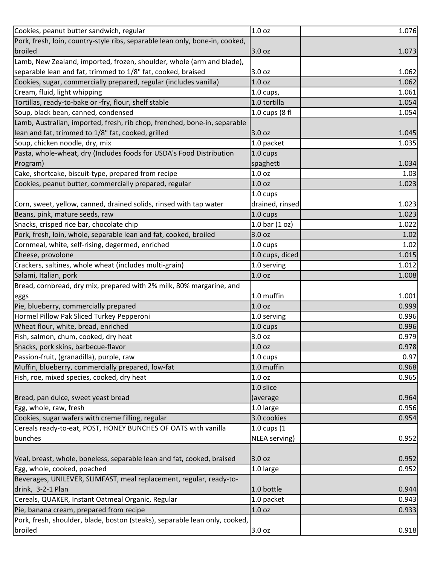| Cookies, peanut butter sandwich, regular                                     | 1.0 oz            | 1.076 |
|------------------------------------------------------------------------------|-------------------|-------|
| Pork, fresh, loin, country-style ribs, separable lean only, bone-in, cooked, |                   |       |
| broiled                                                                      | 3.0 oz            | 1.073 |
| Lamb, New Zealand, imported, frozen, shoulder, whole (arm and blade),        |                   |       |
| separable lean and fat, trimmed to 1/8" fat, cooked, braised                 | 3.0 oz            | 1.062 |
| Cookies, sugar, commercially prepared, regular (includes vanilla)            | 1.0 <sub>oz</sub> | 1.062 |
| Cream, fluid, light whipping                                                 | 1.0 cups,         | 1.061 |
| Tortillas, ready-to-bake or -fry, flour, shelf stable                        | 1.0 tortilla      | 1.054 |
| Soup, black bean, canned, condensed                                          | 1.0 cups (8 fl    | 1.054 |
| Lamb, Australian, imported, fresh, rib chop, frenched, bone-in, separable    |                   |       |
| lean and fat, trimmed to 1/8" fat, cooked, grilled                           | 3.0 oz            | 1.045 |
| Soup, chicken noodle, dry, mix                                               | 1.0 packet        | 1.035 |
| Pasta, whole-wheat, dry (Includes foods for USDA's Food Distribution         | 1.0 cups          |       |
| Program)                                                                     | spaghetti         | 1.034 |
| Cake, shortcake, biscuit-type, prepared from recipe                          | 1.0 <sub>oz</sub> | 1.03  |
| Cookies, peanut butter, commercially prepared, regular                       | 1.0 <sub>oz</sub> | 1.023 |
|                                                                              | 1.0 cups          |       |
| Corn, sweet, yellow, canned, drained solids, rinsed with tap water           | drained, rinsed   | 1.023 |
| Beans, pink, mature seeds, raw                                               | 1.0 cups          | 1.023 |
| Snacks, crisped rice bar, chocolate chip                                     | 1.0 bar $(1 oz)$  | 1.022 |
| Pork, fresh, loin, whole, separable lean and fat, cooked, broiled            | 3.0 oz            | 1.02  |
| Cornmeal, white, self-rising, degermed, enriched                             | 1.0 cups          | 1.02  |
| Cheese, provolone                                                            | 1.0 cups, diced   | 1.015 |
| Crackers, saltines, whole wheat (includes multi-grain)                       | 1.0 serving       | 1.012 |
| Salami, Italian, pork                                                        | 1.0 <sub>oz</sub> | 1.008 |
| Bread, cornbread, dry mix, prepared with 2% milk, 80% margarine, and         |                   |       |
| eggs                                                                         | 1.0 muffin        | 1.001 |
| Pie, blueberry, commercially prepared                                        | 1.0 <sub>oz</sub> | 0.999 |
| Hormel Pillow Pak Sliced Turkey Pepperoni                                    | 1.0 serving       | 0.996 |
| Wheat flour, white, bread, enriched                                          | 1.0 cups          | 0.996 |
| Fish, salmon, chum, cooked, dry heat                                         | 3.0 oz            | 0.979 |
| Snacks, pork skins, barbecue-flavor                                          | 1.0 <sub>oz</sub> | 0.978 |
| Passion-fruit, (granadilla), purple, raw                                     | 1.0 cups          | 0.97  |
| Muffin, blueberry, commercially prepared, low-fat                            | 1.0 muffin        | 0.968 |
| Fish, roe, mixed species, cooked, dry heat                                   | 1.0 <sub>oz</sub> | 0.965 |
|                                                                              | 1.0 slice         |       |
| Bread, pan dulce, sweet yeast bread                                          | (average          | 0.964 |
| Egg, whole, raw, fresh                                                       | 1.0 large         | 0.956 |
| Cookies, sugar wafers with creme filling, regular                            | 3.0 cookies       | 0.954 |
| Cereals ready-to-eat, POST, HONEY BUNCHES OF OATS with vanilla               | 1.0 cups (1       |       |
| bunches                                                                      | NLEA serving)     | 0.952 |
|                                                                              |                   |       |
| Veal, breast, whole, boneless, separable lean and fat, cooked, braised       | 3.0 oz            | 0.952 |
| Egg, whole, cooked, poached                                                  | 1.0 large         | 0.952 |
| Beverages, UNILEVER, SLIMFAST, meal replacement, regular, ready-to-          |                   |       |
| drink, 3-2-1 Plan                                                            | 1.0 bottle        | 0.944 |
| Cereals, QUAKER, Instant Oatmeal Organic, Regular                            | 1.0 packet        | 0.943 |
| Pie, banana cream, prepared from recipe                                      | 1.0 oz            | 0.933 |
| Pork, fresh, shoulder, blade, boston (steaks), separable lean only, cooked,  |                   |       |
| broiled                                                                      | 3.0 oz            | 0.918 |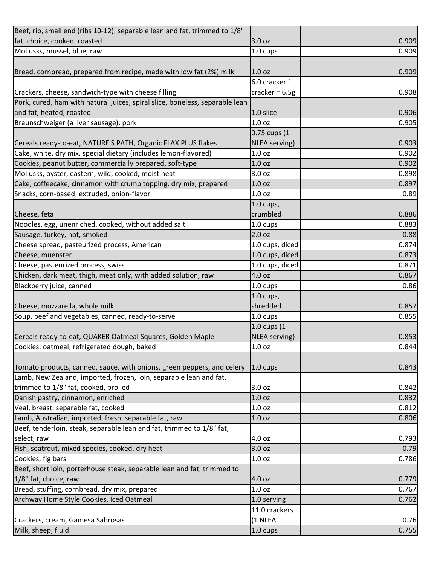| Beef, rib, small end (ribs 10-12), separable lean and fat, trimmed to 1/8"   |                      |                         |
|------------------------------------------------------------------------------|----------------------|-------------------------|
| fat, choice, cooked, roasted                                                 | 3.0 oz               | 0.909                   |
| Mollusks, mussel, blue, raw                                                  | 1.0 cups             | 0.909                   |
|                                                                              |                      |                         |
| Bread, cornbread, prepared from recipe, made with low fat (2%) milk          | 1.0 <sub>oz</sub>    | 0.909                   |
|                                                                              | 6.0 cracker 1        |                         |
| Crackers, cheese, sandwich-type with cheese filling                          | cracker = $6.5g$     | 0.908                   |
| Pork, cured, ham with natural juices, spiral slice, boneless, separable lean |                      |                         |
| and fat, heated, roasted                                                     | 1.0 slice            | 0.906                   |
| Braunschweiger (a liver sausage), pork                                       | 1.0 <sub>oz</sub>    | 0.905                   |
|                                                                              | 0.75 cups (1         |                         |
| Cereals ready-to-eat, NATURE'S PATH, Organic FLAX PLUS flakes                | <b>NLEA</b> serving) | 0.903                   |
| Cake, white, dry mix, special dietary (includes lemon-flavored)              | 1.0 <sub>oz</sub>    | 0.902                   |
| Cookies, peanut butter, commercially prepared, soft-type                     | 1.0 <sub>oz</sub>    | 0.902                   |
| Mollusks, oyster, eastern, wild, cooked, moist heat                          | 3.0 oz               | 0.898                   |
| Cake, coffeecake, cinnamon with crumb topping, dry mix, prepared             | 1.0 <sub>oz</sub>    | 0.897                   |
| Snacks, corn-based, extruded, onion-flavor                                   | 1.0 <sub>oz</sub>    | 0.89                    |
|                                                                              | $1.0$ cups,          |                         |
| Cheese, feta                                                                 | crumbled             | 0.886                   |
| Noodles, egg, unenriched, cooked, without added salt                         | 1.0 cups             | 0.883                   |
| Sausage, turkey, hot, smoked                                                 | 2.0 oz               | 0.88                    |
| Cheese spread, pasteurized process, American                                 | 1.0 cups, diced      | 0.874                   |
| Cheese, muenster                                                             | 1.0 cups, diced      | 0.873                   |
| Cheese, pasteurized process, swiss                                           | 1.0 cups, diced      | 0.871                   |
| Chicken, dark meat, thigh, meat only, with added solution, raw               | 4.0 oz               | 0.867                   |
|                                                                              |                      |                         |
| Blackberry juice, canned                                                     | 1.0 cups             | 0.86                    |
|                                                                              | $1.0$ cups,          |                         |
| Cheese, mozzarella, whole milk                                               | shredded             | 0.857                   |
| Soup, beef and vegetables, canned, ready-to-serve                            | 1.0 cups             | 0.855                   |
|                                                                              | 1.0 cups (1          |                         |
| Cereals ready-to-eat, QUAKER Oatmeal Squares, Golden Maple                   | NLEA serving)        | 0.853                   |
| Cookies, oatmeal, refrigerated dough, baked                                  | 1.0 <sub>oz</sub>    |                         |
|                                                                              |                      |                         |
| Tomato products, canned, sauce, with onions, green peppers, and celery       | $1.0 \text{ cups}$   | 0.844<br>0.843          |
| Lamb, New Zealand, imported, frozen, loin, separable lean and fat,           |                      |                         |
| trimmed to 1/8" fat, cooked, broiled                                         | 3.0 <sub>oz</sub>    | 0.842                   |
| Danish pastry, cinnamon, enriched                                            | 1.0 <sub>oz</sub>    |                         |
| Veal, breast, separable fat, cooked                                          | 1.0 oz               |                         |
| Lamb, Australian, imported, fresh, separable fat, raw                        | 1.0 <sub>oz</sub>    | 0.832<br>0.812<br>0.806 |
| Beef, tenderloin, steak, separable lean and fat, trimmed to 1/8" fat,        |                      |                         |
| select, raw                                                                  | 4.0 oz               |                         |
| Fish, seatrout, mixed species, cooked, dry heat                              | 3.0 oz               |                         |
| Cookies, fig bars                                                            | 1.0 oz               |                         |
| Beef, short loin, porterhouse steak, separable lean and fat, trimmed to      |                      | 0.793<br>0.79<br>0.786  |
| 1/8" fat, choice, raw                                                        | 4.0 oz               |                         |
| Bread, stuffing, cornbread, dry mix, prepared                                | 1.0 oz               | 0.779<br>0.767          |
| Archway Home Style Cookies, Iced Oatmeal                                     | 1.0 serving          | 0.762                   |
|                                                                              | 11.0 crackers        |                         |
| Crackers, cream, Gamesa Sabrosas<br>Milk, sheep, fluid                       | (1 NLEA              | 0.76                    |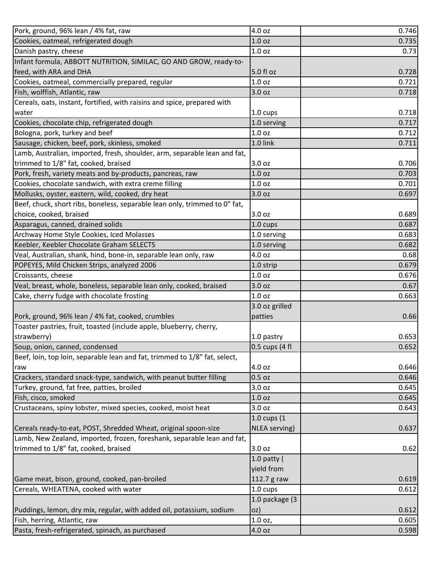| Pork, ground, 96% lean / 4% fat, raw                                       | 4.0 oz            | 0.746 |
|----------------------------------------------------------------------------|-------------------|-------|
| Cookies, oatmeal, refrigerated dough                                       | 1.0 <sub>oz</sub> | 0.735 |
| Danish pastry, cheese                                                      | 1.0 <sub>oz</sub> | 0.73  |
| Infant formula, ABBOTT NUTRITION, SIMILAC, GO AND GROW, ready-to-          |                   |       |
| feed, with ARA and DHA                                                     | 5.0 fl oz         | 0.728 |
| Cookies, oatmeal, commercially prepared, regular                           | 1.0 <sub>oz</sub> | 0.721 |
| Fish, wolffish, Atlantic, raw                                              | 3.0 oz            | 0.718 |
| Cereals, oats, instant, fortified, with raisins and spice, prepared with   |                   |       |
| water                                                                      | 1.0 cups          | 0.718 |
| Cookies, chocolate chip, refrigerated dough                                | 1.0 serving       | 0.717 |
| Bologna, pork, turkey and beef                                             | 1.0 oz            | 0.712 |
| Sausage, chicken, beef, pork, skinless, smoked                             | 1.0 link          | 0.711 |
| Lamb, Australian, imported, fresh, shoulder, arm, separable lean and fat,  |                   |       |
| trimmed to 1/8" fat, cooked, braised                                       | 3.0 oz            | 0.706 |
| Pork, fresh, variety meats and by-products, pancreas, raw                  | 1.0 <sub>oz</sub> | 0.703 |
| Cookies, chocolate sandwich, with extra creme filling                      | 1.0 oz            | 0.701 |
| Mollusks, oyster, eastern, wild, cooked, dry heat                          | 3.0 oz            | 0.697 |
| Beef, chuck, short ribs, boneless, separable lean only, trimmed to 0" fat, |                   |       |
| choice, cooked, braised                                                    | 3.0 oz            | 0.689 |
| Asparagus, canned, drained solids                                          | 1.0 cups          | 0.687 |
| Archway Home Style Cookies, Iced Molasses                                  | 1.0 serving       | 0.683 |
| Keebler, Keebler Chocolate Graham SELECTS                                  | 1.0 serving       | 0.682 |
| Veal, Australian, shank, hind, bone-in, separable lean only, raw           | 4.0 oz            | 0.68  |
| POPEYES, Mild Chicken Strips, analyzed 2006                                | 1.0 strip         | 0.679 |
| Croissants, cheese                                                         | 1.0 <sub>oz</sub> | 0.676 |
| Veal, breast, whole, boneless, separable lean only, cooked, braised        | 3.0 oz            | 0.67  |
| Cake, cherry fudge with chocolate frosting                                 | 1.0 <sub>oz</sub> | 0.663 |
|                                                                            | 3.0 oz grilled    |       |
| Pork, ground, 96% lean / 4% fat, cooked, crumbles                          | patties           | 0.66  |
| Toaster pastries, fruit, toasted (include apple, blueberry, cherry,        |                   |       |
| strawberry)                                                                | 1.0 pastry        | 0.653 |
| Soup, onion, canned, condensed                                             | $0.5$ cups (4 fl  | 0.652 |
| Beef, loin, top loin, separable lean and fat, trimmed to 1/8" fat, select, |                   |       |
| raw                                                                        | 4.0 oz            | 0.646 |
| Crackers, standard snack-type, sandwich, with peanut butter filling        | $0.5$ oz          | 0.646 |
| Turkey, ground, fat free, patties, broiled                                 | 3.0 oz            | 0.645 |
| Fish, cisco, smoked                                                        | 1.0 oz            | 0.645 |
| Crustaceans, spiny lobster, mixed species, cooked, moist heat              | 3.0 oz            | 0.643 |
|                                                                            | 1.0 cups (1       |       |
| Cereals ready-to-eat, POST, Shredded Wheat, original spoon-size            | NLEA serving)     | 0.637 |
| Lamb, New Zealand, imported, frozen, foreshank, separable lean and fat,    |                   |       |
| trimmed to 1/8" fat, cooked, braised                                       | 3.0 oz            | 0.62  |
|                                                                            | 1.0 patty (       |       |
|                                                                            | yield from        |       |
| Game meat, bison, ground, cooked, pan-broiled                              | 112.7 g raw       | 0.619 |
| Cereals, WHEATENA, cooked with water                                       | 1.0 cups          | 0.612 |
|                                                                            | 1.0 package (3    |       |
| Puddings, lemon, dry mix, regular, with added oil, potassium, sodium       | OZ)               | 0.612 |
| Fish, herring, Atlantic, raw                                               | $1.0$ oz,         | 0.605 |
| Pasta, fresh-refrigerated, spinach, as purchased                           | 4.0 oz            | 0.598 |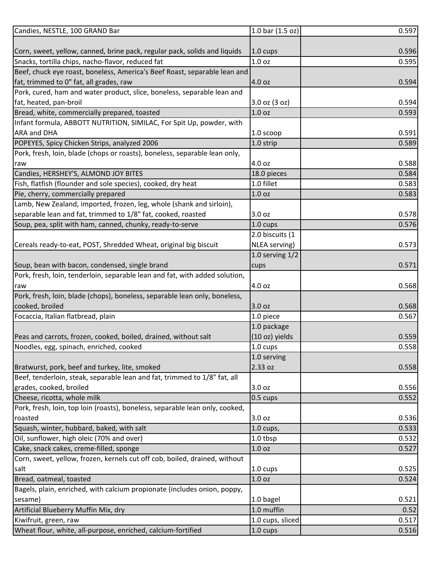| $1.0 \text{ cups}$<br>Snacks, tortilla chips, nacho-flavor, reduced fat<br>1.0 oz<br>0.595<br>4.0 oz<br>0.594<br>Pork, cured, ham and water product, slice, boneless, separable lean and<br>3.0 oz (3 oz)<br>0.594<br>Bread, white, commercially prepared, toasted<br>1.0 oz<br>0.593<br>Infant formula, ABBOTT NUTRITION, SIMILAC, For Spit Up, powder, with<br>0.591<br>1.0 scoop<br>0.589<br>1.0 strip<br>4.0 oz<br>raw<br>18.0 pieces<br>0.584<br>Fish, flatfish (flounder and sole species), cooked, dry heat<br>1.0 fillet<br>0.583<br>1.0 <sub>oz</sub><br>0.583<br>separable lean and fat, trimmed to 1/8" fat, cooked, roasted<br>3.0 oz<br>0.576<br>$1.0 \text{ cups}$<br>2.0 biscuits (1<br>NLEA serving)<br>0.573<br>1.0 serving $1/2$<br>0.571<br>cups<br>4.0 oz<br>0.568<br>raw<br>3.0 oz<br>0.568<br>1.0 piece<br>0.567<br>1.0 package<br>(10 oz) yields<br>1.0 cups<br>Noodles, egg, spinach, enriched, cooked<br>1.0 serving<br>2.33 oz<br>Beef, tenderloin, steak, separable lean and fat, trimmed to 1/8" fat, all<br>grades, cooked, broiled<br>3.0 oz<br>0.556<br>Cheese, ricotta, whole milk<br>$0.5 \text{ cups}$<br>0.552<br>Pork, fresh, loin, top loin (roasts), boneless, separable lean only, cooked,<br>roasted<br>3.0 oz<br>0.536<br>0.533<br>$1.0$ cups,<br>Oil, sunflower, high oleic (70% and over)<br>1.0 tbsp<br>0.532<br>Cake, snack cakes, creme-filled, sponge<br>1.0 oz<br>0.527<br>Corn, sweet, yellow, frozen, kernels cut off cob, boiled, drained, without<br>0.525<br>$1.0 \text{ cups}$<br>salt<br>1.0 <sub>oz</sub><br>0.524<br>Bagels, plain, enriched, with calcium propionate (includes onion, poppy,<br>sesame)<br>1.0 bagel<br>0.521<br>1.0 muffin<br>0.52<br>Kiwifruit, green, raw<br>1.0 cups, sliced<br>0.517 | Candies, NESTLE, 100 GRAND Bar                               | 1.0 bar $(1.5 oz)$ | 0.597 |
|---------------------------------------------------------------------------------------------------------------------------------------------------------------------------------------------------------------------------------------------------------------------------------------------------------------------------------------------------------------------------------------------------------------------------------------------------------------------------------------------------------------------------------------------------------------------------------------------------------------------------------------------------------------------------------------------------------------------------------------------------------------------------------------------------------------------------------------------------------------------------------------------------------------------------------------------------------------------------------------------------------------------------------------------------------------------------------------------------------------------------------------------------------------------------------------------------------------------------------------------------------------------------------------------------------------------------------------------------------------------------------------------------------------------------------------------------------------------------------------------------------------------------------------------------------------------------------------------------------------------------------------------------------------------------------------------------------------------------------------------------------------------|--------------------------------------------------------------|--------------------|-------|
| Corn, sweet, yellow, canned, brine pack, regular pack, solids and liquids<br>Beef, chuck eye roast, boneless, America's Beef Roast, separable lean and<br>fat, trimmed to 0" fat, all grades, raw<br>fat, heated, pan-broil<br><b>ARA and DHA</b><br>POPEYES, Spicy Chicken Strips, analyzed 2006<br>Pork, fresh, loin, blade (chops or roasts), boneless, separable lean only,<br>Candies, HERSHEY'S, ALMOND JOY BITES                                                                                                                                                                                                                                                                                                                                                                                                                                                                                                                                                                                                                                                                                                                                                                                                                                                                                                                                                                                                                                                                                                                                                                                                                                                                                                                                             |                                                              |                    |       |
|                                                                                                                                                                                                                                                                                                                                                                                                                                                                                                                                                                                                                                                                                                                                                                                                                                                                                                                                                                                                                                                                                                                                                                                                                                                                                                                                                                                                                                                                                                                                                                                                                                                                                                                                                                     |                                                              |                    | 0.596 |
|                                                                                                                                                                                                                                                                                                                                                                                                                                                                                                                                                                                                                                                                                                                                                                                                                                                                                                                                                                                                                                                                                                                                                                                                                                                                                                                                                                                                                                                                                                                                                                                                                                                                                                                                                                     |                                                              |                    |       |
|                                                                                                                                                                                                                                                                                                                                                                                                                                                                                                                                                                                                                                                                                                                                                                                                                                                                                                                                                                                                                                                                                                                                                                                                                                                                                                                                                                                                                                                                                                                                                                                                                                                                                                                                                                     |                                                              |                    |       |
|                                                                                                                                                                                                                                                                                                                                                                                                                                                                                                                                                                                                                                                                                                                                                                                                                                                                                                                                                                                                                                                                                                                                                                                                                                                                                                                                                                                                                                                                                                                                                                                                                                                                                                                                                                     |                                                              |                    |       |
|                                                                                                                                                                                                                                                                                                                                                                                                                                                                                                                                                                                                                                                                                                                                                                                                                                                                                                                                                                                                                                                                                                                                                                                                                                                                                                                                                                                                                                                                                                                                                                                                                                                                                                                                                                     |                                                              |                    |       |
|                                                                                                                                                                                                                                                                                                                                                                                                                                                                                                                                                                                                                                                                                                                                                                                                                                                                                                                                                                                                                                                                                                                                                                                                                                                                                                                                                                                                                                                                                                                                                                                                                                                                                                                                                                     |                                                              |                    |       |
|                                                                                                                                                                                                                                                                                                                                                                                                                                                                                                                                                                                                                                                                                                                                                                                                                                                                                                                                                                                                                                                                                                                                                                                                                                                                                                                                                                                                                                                                                                                                                                                                                                                                                                                                                                     |                                                              |                    |       |
|                                                                                                                                                                                                                                                                                                                                                                                                                                                                                                                                                                                                                                                                                                                                                                                                                                                                                                                                                                                                                                                                                                                                                                                                                                                                                                                                                                                                                                                                                                                                                                                                                                                                                                                                                                     |                                                              |                    |       |
|                                                                                                                                                                                                                                                                                                                                                                                                                                                                                                                                                                                                                                                                                                                                                                                                                                                                                                                                                                                                                                                                                                                                                                                                                                                                                                                                                                                                                                                                                                                                                                                                                                                                                                                                                                     |                                                              |                    |       |
|                                                                                                                                                                                                                                                                                                                                                                                                                                                                                                                                                                                                                                                                                                                                                                                                                                                                                                                                                                                                                                                                                                                                                                                                                                                                                                                                                                                                                                                                                                                                                                                                                                                                                                                                                                     |                                                              |                    |       |
|                                                                                                                                                                                                                                                                                                                                                                                                                                                                                                                                                                                                                                                                                                                                                                                                                                                                                                                                                                                                                                                                                                                                                                                                                                                                                                                                                                                                                                                                                                                                                                                                                                                                                                                                                                     |                                                              |                    |       |
|                                                                                                                                                                                                                                                                                                                                                                                                                                                                                                                                                                                                                                                                                                                                                                                                                                                                                                                                                                                                                                                                                                                                                                                                                                                                                                                                                                                                                                                                                                                                                                                                                                                                                                                                                                     |                                                              |                    | 0.588 |
|                                                                                                                                                                                                                                                                                                                                                                                                                                                                                                                                                                                                                                                                                                                                                                                                                                                                                                                                                                                                                                                                                                                                                                                                                                                                                                                                                                                                                                                                                                                                                                                                                                                                                                                                                                     |                                                              |                    |       |
|                                                                                                                                                                                                                                                                                                                                                                                                                                                                                                                                                                                                                                                                                                                                                                                                                                                                                                                                                                                                                                                                                                                                                                                                                                                                                                                                                                                                                                                                                                                                                                                                                                                                                                                                                                     |                                                              |                    |       |
| Lamb, New Zealand, imported, frozen, leg, whole (shank and sirloin),<br>Soup, pea, split with ham, canned, chunky, ready-to-serve<br>Cereals ready-to-eat, POST, Shredded Wheat, original big biscuit<br>Soup, bean with bacon, condensed, single brand<br>Pork, fresh, loin, tenderloin, separable lean and fat, with added solution,<br>Pork, fresh, loin, blade (chops), boneless, separable lean only, boneless,<br>cooked, broiled<br>Focaccia, Italian flatbread, plain<br>Peas and carrots, frozen, cooked, boiled, drained, without salt<br>Bratwurst, pork, beef and turkey, lite, smoked<br>Squash, winter, hubbard, baked, with salt<br>Bread, oatmeal, toasted<br>Artificial Blueberry Muffin Mix, dry                                                                                                                                                                                                                                                                                                                                                                                                                                                                                                                                                                                                                                                                                                                                                                                                                                                                                                                                                                                                                                                  | Pie, cherry, commercially prepared                           |                    |       |
|                                                                                                                                                                                                                                                                                                                                                                                                                                                                                                                                                                                                                                                                                                                                                                                                                                                                                                                                                                                                                                                                                                                                                                                                                                                                                                                                                                                                                                                                                                                                                                                                                                                                                                                                                                     |                                                              |                    |       |
|                                                                                                                                                                                                                                                                                                                                                                                                                                                                                                                                                                                                                                                                                                                                                                                                                                                                                                                                                                                                                                                                                                                                                                                                                                                                                                                                                                                                                                                                                                                                                                                                                                                                                                                                                                     |                                                              |                    | 0.578 |
|                                                                                                                                                                                                                                                                                                                                                                                                                                                                                                                                                                                                                                                                                                                                                                                                                                                                                                                                                                                                                                                                                                                                                                                                                                                                                                                                                                                                                                                                                                                                                                                                                                                                                                                                                                     |                                                              |                    |       |
|                                                                                                                                                                                                                                                                                                                                                                                                                                                                                                                                                                                                                                                                                                                                                                                                                                                                                                                                                                                                                                                                                                                                                                                                                                                                                                                                                                                                                                                                                                                                                                                                                                                                                                                                                                     |                                                              |                    |       |
|                                                                                                                                                                                                                                                                                                                                                                                                                                                                                                                                                                                                                                                                                                                                                                                                                                                                                                                                                                                                                                                                                                                                                                                                                                                                                                                                                                                                                                                                                                                                                                                                                                                                                                                                                                     |                                                              |                    |       |
|                                                                                                                                                                                                                                                                                                                                                                                                                                                                                                                                                                                                                                                                                                                                                                                                                                                                                                                                                                                                                                                                                                                                                                                                                                                                                                                                                                                                                                                                                                                                                                                                                                                                                                                                                                     |                                                              |                    |       |
|                                                                                                                                                                                                                                                                                                                                                                                                                                                                                                                                                                                                                                                                                                                                                                                                                                                                                                                                                                                                                                                                                                                                                                                                                                                                                                                                                                                                                                                                                                                                                                                                                                                                                                                                                                     |                                                              |                    |       |
|                                                                                                                                                                                                                                                                                                                                                                                                                                                                                                                                                                                                                                                                                                                                                                                                                                                                                                                                                                                                                                                                                                                                                                                                                                                                                                                                                                                                                                                                                                                                                                                                                                                                                                                                                                     |                                                              |                    |       |
|                                                                                                                                                                                                                                                                                                                                                                                                                                                                                                                                                                                                                                                                                                                                                                                                                                                                                                                                                                                                                                                                                                                                                                                                                                                                                                                                                                                                                                                                                                                                                                                                                                                                                                                                                                     |                                                              |                    |       |
|                                                                                                                                                                                                                                                                                                                                                                                                                                                                                                                                                                                                                                                                                                                                                                                                                                                                                                                                                                                                                                                                                                                                                                                                                                                                                                                                                                                                                                                                                                                                                                                                                                                                                                                                                                     |                                                              |                    |       |
|                                                                                                                                                                                                                                                                                                                                                                                                                                                                                                                                                                                                                                                                                                                                                                                                                                                                                                                                                                                                                                                                                                                                                                                                                                                                                                                                                                                                                                                                                                                                                                                                                                                                                                                                                                     |                                                              |                    |       |
|                                                                                                                                                                                                                                                                                                                                                                                                                                                                                                                                                                                                                                                                                                                                                                                                                                                                                                                                                                                                                                                                                                                                                                                                                                                                                                                                                                                                                                                                                                                                                                                                                                                                                                                                                                     |                                                              |                    |       |
|                                                                                                                                                                                                                                                                                                                                                                                                                                                                                                                                                                                                                                                                                                                                                                                                                                                                                                                                                                                                                                                                                                                                                                                                                                                                                                                                                                                                                                                                                                                                                                                                                                                                                                                                                                     |                                                              |                    |       |
|                                                                                                                                                                                                                                                                                                                                                                                                                                                                                                                                                                                                                                                                                                                                                                                                                                                                                                                                                                                                                                                                                                                                                                                                                                                                                                                                                                                                                                                                                                                                                                                                                                                                                                                                                                     |                                                              |                    | 0.559 |
|                                                                                                                                                                                                                                                                                                                                                                                                                                                                                                                                                                                                                                                                                                                                                                                                                                                                                                                                                                                                                                                                                                                                                                                                                                                                                                                                                                                                                                                                                                                                                                                                                                                                                                                                                                     |                                                              |                    | 0.558 |
|                                                                                                                                                                                                                                                                                                                                                                                                                                                                                                                                                                                                                                                                                                                                                                                                                                                                                                                                                                                                                                                                                                                                                                                                                                                                                                                                                                                                                                                                                                                                                                                                                                                                                                                                                                     |                                                              |                    |       |
|                                                                                                                                                                                                                                                                                                                                                                                                                                                                                                                                                                                                                                                                                                                                                                                                                                                                                                                                                                                                                                                                                                                                                                                                                                                                                                                                                                                                                                                                                                                                                                                                                                                                                                                                                                     |                                                              |                    | 0.558 |
|                                                                                                                                                                                                                                                                                                                                                                                                                                                                                                                                                                                                                                                                                                                                                                                                                                                                                                                                                                                                                                                                                                                                                                                                                                                                                                                                                                                                                                                                                                                                                                                                                                                                                                                                                                     |                                                              |                    |       |
|                                                                                                                                                                                                                                                                                                                                                                                                                                                                                                                                                                                                                                                                                                                                                                                                                                                                                                                                                                                                                                                                                                                                                                                                                                                                                                                                                                                                                                                                                                                                                                                                                                                                                                                                                                     |                                                              |                    |       |
|                                                                                                                                                                                                                                                                                                                                                                                                                                                                                                                                                                                                                                                                                                                                                                                                                                                                                                                                                                                                                                                                                                                                                                                                                                                                                                                                                                                                                                                                                                                                                                                                                                                                                                                                                                     |                                                              |                    |       |
|                                                                                                                                                                                                                                                                                                                                                                                                                                                                                                                                                                                                                                                                                                                                                                                                                                                                                                                                                                                                                                                                                                                                                                                                                                                                                                                                                                                                                                                                                                                                                                                                                                                                                                                                                                     |                                                              |                    |       |
|                                                                                                                                                                                                                                                                                                                                                                                                                                                                                                                                                                                                                                                                                                                                                                                                                                                                                                                                                                                                                                                                                                                                                                                                                                                                                                                                                                                                                                                                                                                                                                                                                                                                                                                                                                     |                                                              |                    |       |
|                                                                                                                                                                                                                                                                                                                                                                                                                                                                                                                                                                                                                                                                                                                                                                                                                                                                                                                                                                                                                                                                                                                                                                                                                                                                                                                                                                                                                                                                                                                                                                                                                                                                                                                                                                     |                                                              |                    |       |
|                                                                                                                                                                                                                                                                                                                                                                                                                                                                                                                                                                                                                                                                                                                                                                                                                                                                                                                                                                                                                                                                                                                                                                                                                                                                                                                                                                                                                                                                                                                                                                                                                                                                                                                                                                     |                                                              |                    |       |
|                                                                                                                                                                                                                                                                                                                                                                                                                                                                                                                                                                                                                                                                                                                                                                                                                                                                                                                                                                                                                                                                                                                                                                                                                                                                                                                                                                                                                                                                                                                                                                                                                                                                                                                                                                     |                                                              |                    |       |
|                                                                                                                                                                                                                                                                                                                                                                                                                                                                                                                                                                                                                                                                                                                                                                                                                                                                                                                                                                                                                                                                                                                                                                                                                                                                                                                                                                                                                                                                                                                                                                                                                                                                                                                                                                     |                                                              |                    |       |
|                                                                                                                                                                                                                                                                                                                                                                                                                                                                                                                                                                                                                                                                                                                                                                                                                                                                                                                                                                                                                                                                                                                                                                                                                                                                                                                                                                                                                                                                                                                                                                                                                                                                                                                                                                     |                                                              |                    |       |
|                                                                                                                                                                                                                                                                                                                                                                                                                                                                                                                                                                                                                                                                                                                                                                                                                                                                                                                                                                                                                                                                                                                                                                                                                                                                                                                                                                                                                                                                                                                                                                                                                                                                                                                                                                     |                                                              |                    |       |
|                                                                                                                                                                                                                                                                                                                                                                                                                                                                                                                                                                                                                                                                                                                                                                                                                                                                                                                                                                                                                                                                                                                                                                                                                                                                                                                                                                                                                                                                                                                                                                                                                                                                                                                                                                     |                                                              |                    |       |
|                                                                                                                                                                                                                                                                                                                                                                                                                                                                                                                                                                                                                                                                                                                                                                                                                                                                                                                                                                                                                                                                                                                                                                                                                                                                                                                                                                                                                                                                                                                                                                                                                                                                                                                                                                     |                                                              |                    |       |
|                                                                                                                                                                                                                                                                                                                                                                                                                                                                                                                                                                                                                                                                                                                                                                                                                                                                                                                                                                                                                                                                                                                                                                                                                                                                                                                                                                                                                                                                                                                                                                                                                                                                                                                                                                     |                                                              |                    |       |
|                                                                                                                                                                                                                                                                                                                                                                                                                                                                                                                                                                                                                                                                                                                                                                                                                                                                                                                                                                                                                                                                                                                                                                                                                                                                                                                                                                                                                                                                                                                                                                                                                                                                                                                                                                     |                                                              |                    |       |
|                                                                                                                                                                                                                                                                                                                                                                                                                                                                                                                                                                                                                                                                                                                                                                                                                                                                                                                                                                                                                                                                                                                                                                                                                                                                                                                                                                                                                                                                                                                                                                                                                                                                                                                                                                     | Wheat flour, white, all-purpose, enriched, calcium-fortified | 1.0 cups           | 0.516 |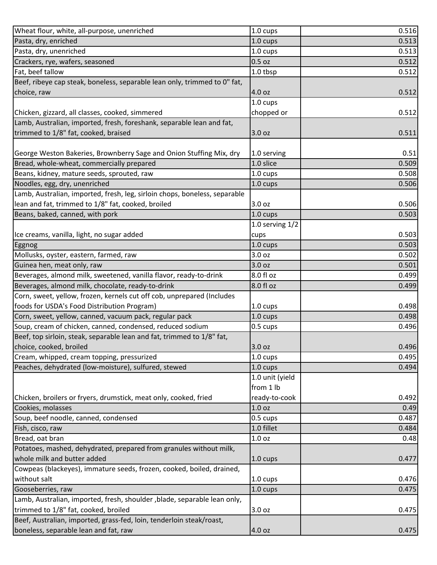| Wheat flour, white, all-purpose, unenriched                                                                                                           | 1.0 cups          | 0.516 |
|-------------------------------------------------------------------------------------------------------------------------------------------------------|-------------------|-------|
| Pasta, dry, enriched                                                                                                                                  | 1.0 cups          | 0.513 |
| Pasta, dry, unenriched                                                                                                                                | 1.0 cups          | 0.513 |
| Crackers, rye, wafers, seasoned                                                                                                                       | $0.5$ oz          | 0.512 |
| Fat, beef tallow                                                                                                                                      | 1.0 tbsp          | 0.512 |
| Beef, ribeye cap steak, boneless, separable lean only, trimmed to 0" fat,                                                                             |                   |       |
| choice, raw                                                                                                                                           | 4.0 oz            | 0.512 |
|                                                                                                                                                       | 1.0 cups          |       |
| Chicken, gizzard, all classes, cooked, simmered                                                                                                       | chopped or        | 0.512 |
| Lamb, Australian, imported, fresh, foreshank, separable lean and fat,                                                                                 |                   |       |
| trimmed to 1/8" fat, cooked, braised                                                                                                                  | 3.0 oz            | 0.511 |
|                                                                                                                                                       |                   |       |
| George Weston Bakeries, Brownberry Sage and Onion Stuffing Mix, dry                                                                                   | 1.0 serving       | 0.51  |
| Bread, whole-wheat, commercially prepared                                                                                                             | 1.0 slice         | 0.509 |
| Beans, kidney, mature seeds, sprouted, raw                                                                                                            | 1.0 cups          | 0.508 |
| Noodles, egg, dry, unenriched                                                                                                                         | 1.0 cups          | 0.506 |
| Lamb, Australian, imported, fresh, leg, sirloin chops, boneless, separable                                                                            |                   |       |
| lean and fat, trimmed to 1/8" fat, cooked, broiled                                                                                                    | 3.0 oz            | 0.506 |
| Beans, baked, canned, with pork                                                                                                                       | 1.0 cups          | 0.503 |
|                                                                                                                                                       | 1.0 serving $1/2$ |       |
| Ice creams, vanilla, light, no sugar added                                                                                                            | cups              | 0.503 |
| Eggnog                                                                                                                                                | 1.0 cups          | 0.503 |
| Mollusks, oyster, eastern, farmed, raw                                                                                                                | 3.0 oz            | 0.502 |
| Guinea hen, meat only, raw                                                                                                                            | 3.0 oz            | 0.501 |
| Beverages, almond milk, sweetened, vanilla flavor, ready-to-drink                                                                                     | 8.0 fl oz         | 0.499 |
| Beverages, almond milk, chocolate, ready-to-drink                                                                                                     | 8.0 fl oz         | 0.499 |
| Corn, sweet, yellow, frozen, kernels cut off cob, unprepared (Includes                                                                                |                   |       |
| foods for USDA's Food Distribution Program)                                                                                                           | 1.0 cups          | 0.498 |
| Corn, sweet, yellow, canned, vacuum pack, regular pack                                                                                                | 1.0 cups          | 0.498 |
| Soup, cream of chicken, canned, condensed, reduced sodium                                                                                             | 0.5 cups          | 0.496 |
| Beef, top sirloin, steak, separable lean and fat, trimmed to 1/8" fat,                                                                                |                   |       |
| choice, cooked, broiled                                                                                                                               | 3.0 oz            | 0.496 |
| Cream, whipped, cream topping, pressurized                                                                                                            | 1.0 cups          | 0.495 |
| Peaches, dehydrated (low-moisture), sulfured, stewed                                                                                                  | 1.0 cups          | 0.494 |
|                                                                                                                                                       | 1.0 unit (yield   |       |
|                                                                                                                                                       | from 1 lb         |       |
| Chicken, broilers or fryers, drumstick, meat only, cooked, fried                                                                                      | ready-to-cook     | 0.492 |
| Cookies, molasses                                                                                                                                     | 1.0 oz            | 0.49  |
| Soup, beef noodle, canned, condensed                                                                                                                  | 0.5 cups          | 0.487 |
| Fish, cisco, raw                                                                                                                                      | 1.0 fillet        | 0.484 |
| Bread, oat bran                                                                                                                                       | 1.0 oz            | 0.48  |
| Potatoes, mashed, dehydrated, prepared from granules without milk,                                                                                    |                   |       |
| whole milk and butter added                                                                                                                           | 1.0 cups          | 0.477 |
| Cowpeas (blackeyes), immature seeds, frozen, cooked, boiled, drained,                                                                                 |                   |       |
| without salt                                                                                                                                          | 1.0 cups          | 0.476 |
| Gooseberries, raw                                                                                                                                     | 1.0 cups          | 0.475 |
| Lamb, Australian, imported, fresh, shoulder, blade, separable lean only,                                                                              |                   |       |
|                                                                                                                                                       |                   |       |
|                                                                                                                                                       | 3.0 oz            | 0.475 |
| trimmed to 1/8" fat, cooked, broiled<br>Beef, Australian, imported, grass-fed, loin, tenderloin steak/roast,<br>boneless, separable lean and fat, raw |                   |       |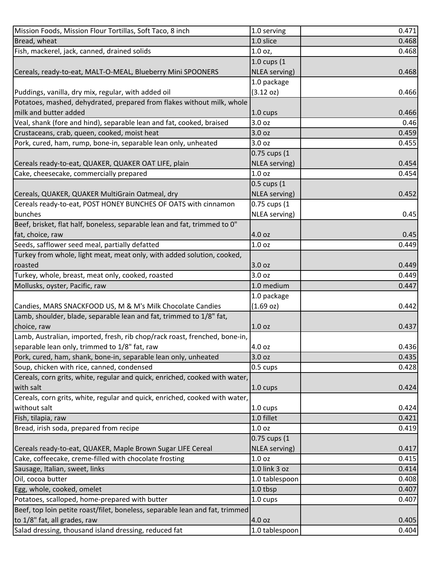| Mission Foods, Mission Flour Tortillas, Soft Taco, 8 inch                    | 1.0 serving        | 0.471 |
|------------------------------------------------------------------------------|--------------------|-------|
| Bread, wheat                                                                 | 1.0 slice          | 0.468 |
| Fish, mackerel, jack, canned, drained solids                                 | 1.0 oz,            | 0.468 |
|                                                                              | 1.0 cups (1        |       |
| Cereals, ready-to-eat, MALT-O-MEAL, Blueberry Mini SPOONERS                  | NLEA serving)      | 0.468 |
|                                                                              | 1.0 package        |       |
| Puddings, vanilla, dry mix, regular, with added oil                          | (3.12 oz)          | 0.466 |
| Potatoes, mashed, dehydrated, prepared from flakes without milk, whole       |                    |       |
| milk and butter added                                                        | 1.0 cups           | 0.466 |
| Veal, shank (fore and hind), separable lean and fat, cooked, braised         | 3.0 oz             | 0.46  |
| Crustaceans, crab, queen, cooked, moist heat                                 | 3.0 oz             | 0.459 |
| Pork, cured, ham, rump, bone-in, separable lean only, unheated               | 3.0 oz             | 0.455 |
|                                                                              | 0.75 cups (1       |       |
| Cereals ready-to-eat, QUAKER, QUAKER OAT LIFE, plain                         | NLEA serving)      | 0.454 |
| Cake, cheesecake, commercially prepared                                      | 1.0 <sub>oz</sub>  | 0.454 |
|                                                                              | 0.5 cups (1        |       |
| Cereals, QUAKER, QUAKER MultiGrain Oatmeal, dry                              | NLEA serving)      | 0.452 |
|                                                                              |                    |       |
| Cereals ready-to-eat, POST HONEY BUNCHES OF OATS with cinnamon               | 0.75 cups (1       |       |
| bunches                                                                      | NLEA serving)      | 0.45  |
| Beef, brisket, flat half, boneless, separable lean and fat, trimmed to 0"    |                    |       |
| fat, choice, raw                                                             | 4.0 oz             | 0.45  |
| Seeds, safflower seed meal, partially defatted                               | 1.0 <sub>oz</sub>  | 0.449 |
| Turkey from whole, light meat, meat only, with added solution, cooked,       |                    |       |
| roasted                                                                      | 3.0 oz             | 0.449 |
| Turkey, whole, breast, meat only, cooked, roasted                            | 3.0 oz             | 0.449 |
| Mollusks, oyster, Pacific, raw                                               | 1.0 medium         | 0.447 |
|                                                                              | 1.0 package        |       |
| Candies, MARS SNACKFOOD US, M & M's Milk Chocolate Candies                   | (1.69 oz)          | 0.442 |
| Lamb, shoulder, blade, separable lean and fat, trimmed to 1/8" fat,          |                    |       |
| choice, raw                                                                  | 1.0 <sub>oz</sub>  | 0.437 |
| Lamb, Australian, imported, fresh, rib chop/rack roast, frenched, bone-in,   |                    |       |
| separable lean only, trimmed to 1/8" fat, raw                                | 4.0 oz             | 0.436 |
| Pork, cured, ham, shank, bone-in, separable lean only, unheated              | 3.0 oz             | 0.435 |
| Soup, chicken with rice, canned, condensed                                   | 0.5 cups           | 0.428 |
| Cereals, corn grits, white, regular and quick, enriched, cooked with water,  |                    |       |
| with salt                                                                    | $1.0 \text{ cups}$ | 0.424 |
| Cereals, corn grits, white, regular and quick, enriched, cooked with water,  |                    |       |
| without salt                                                                 | $1.0 \text{ cups}$ | 0.424 |
| Fish, tilapia, raw                                                           | 1.0 fillet         | 0.421 |
| Bread, irish soda, prepared from recipe                                      | 1.0 <sub>oz</sub>  | 0.419 |
|                                                                              | 0.75 cups (1       |       |
| Cereals ready-to-eat, QUAKER, Maple Brown Sugar LIFE Cereal                  | NLEA serving)      | 0.417 |
| Cake, coffeecake, creme-filled with chocolate frosting                       | 1.0 <sub>oz</sub>  | 0.415 |
| Sausage, Italian, sweet, links                                               | 1.0 link 3 oz      | 0.414 |
| Oil, cocoa butter                                                            | 1.0 tablespoon     | 0.408 |
| Egg, whole, cooked, omelet                                                   | 1.0 tbsp           | 0.407 |
| Potatoes, scalloped, home-prepared with butter                               | 1.0 cups           | 0.407 |
| Beef, top loin petite roast/filet, boneless, separable lean and fat, trimmed |                    |       |
| to 1/8" fat, all grades, raw                                                 | 4.0 oz             | 0.405 |
| Salad dressing, thousand island dressing, reduced fat                        | 1.0 tablespoon     | 0.404 |
|                                                                              |                    |       |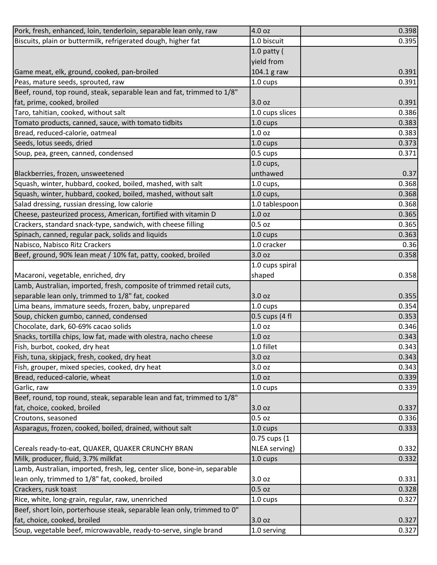| Pork, fresh, enhanced, loin, tenderloin, separable lean only, raw        | 4.0 oz             | 0.398 |
|--------------------------------------------------------------------------|--------------------|-------|
| Biscuits, plain or buttermilk, refrigerated dough, higher fat            | 1.0 biscuit        | 0.395 |
|                                                                          | 1.0 patty $($      |       |
|                                                                          | yield from         |       |
| Game meat, elk, ground, cooked, pan-broiled                              | 104.1 g raw        | 0.391 |
| Peas, mature seeds, sprouted, raw                                        | 1.0 cups           | 0.391 |
| Beef, round, top round, steak, separable lean and fat, trimmed to 1/8"   |                    |       |
| fat, prime, cooked, broiled                                              | 3.0 oz             | 0.391 |
| Taro, tahitian, cooked, without salt                                     | 1.0 cups slices    | 0.386 |
| Tomato products, canned, sauce, with tomato tidbits                      | $1.0 \text{ cups}$ | 0.383 |
| Bread, reduced-calorie, oatmeal                                          | 1.0 <sub>oz</sub>  | 0.383 |
| Seeds, lotus seeds, dried                                                | 1.0 cups           | 0.373 |
| Soup, pea, green, canned, condensed                                      | 0.5 cups           | 0.371 |
|                                                                          | $1.0$ cups,        |       |
| Blackberries, frozen, unsweetened                                        | unthawed           | 0.37  |
| Squash, winter, hubbard, cooked, boiled, mashed, with salt               | 1.0 cups,          | 0.368 |
| Squash, winter, hubbard, cooked, boiled, mashed, without salt            | $1.0$ cups,        | 0.368 |
| Salad dressing, russian dressing, low calorie                            | 1.0 tablespoon     | 0.368 |
| Cheese, pasteurized process, American, fortified with vitamin D          | 1.0 <sub>oz</sub>  | 0.365 |
| Crackers, standard snack-type, sandwich, with cheese filling             | 0.5 oz             | 0.365 |
| Spinach, canned, regular pack, solids and liquids                        | 1.0 cups           | 0.363 |
| Nabisco, Nabisco Ritz Crackers                                           | 1.0 cracker        | 0.36  |
| Beef, ground, 90% lean meat / 10% fat, patty, cooked, broiled            | 3.0 oz             | 0.358 |
|                                                                          | 1.0 cups spiral    |       |
| Macaroni, vegetable, enriched, dry                                       | shaped             | 0.358 |
| Lamb, Australian, imported, fresh, composite of trimmed retail cuts,     |                    |       |
| separable lean only, trimmed to 1/8" fat, cooked                         | 3.0 oz             | 0.355 |
| Lima beans, immature seeds, frozen, baby, unprepared                     | 1.0 cups           | 0.354 |
| Soup, chicken gumbo, canned, condensed                                   | $0.5$ cups (4 fl   | 0.353 |
| Chocolate, dark, 60-69% cacao solids                                     | 1.0 <sub>oz</sub>  | 0.346 |
| Snacks, tortilla chips, low fat, made with olestra, nacho cheese         | 1.0 <sub>oz</sub>  | 0.343 |
| Fish, burbot, cooked, dry heat                                           | 1.0 fillet         | 0.343 |
| Fish, tuna, skipjack, fresh, cooked, dry heat                            | 3.0 oz             | 0.343 |
| Fish, grouper, mixed species, cooked, dry heat                           | 3.0 oz             | 0.343 |
| Bread, reduced-calorie, wheat                                            | 1.0 oz             | 0.339 |
| Garlic, raw                                                              | 1.0 cups           | 0.339 |
| Beef, round, top round, steak, separable lean and fat, trimmed to 1/8"   |                    |       |
| fat, choice, cooked, broiled                                             | 3.0 oz             | 0.337 |
| Croutons, seasoned                                                       | 0.5 oz             | 0.336 |
| Asparagus, frozen, cooked, boiled, drained, without salt                 | 1.0 cups           | 0.333 |
|                                                                          | 0.75 cups (1       |       |
| Cereals ready-to-eat, QUAKER, QUAKER CRUNCHY BRAN                        | NLEA serving)      | 0.332 |
| Milk, producer, fluid, 3.7% milkfat                                      | 1.0 cups           | 0.332 |
| Lamb, Australian, imported, fresh, leg, center slice, bone-in, separable |                    |       |
| lean only, trimmed to 1/8" fat, cooked, broiled                          | 3.0 oz             | 0.331 |
| Crackers, rusk toast                                                     | 0.5 oz             | 0.328 |
| Rice, white, long-grain, regular, raw, unenriched                        | 1.0 cups           | 0.327 |
| Beef, short loin, porterhouse steak, separable lean only, trimmed to 0"  |                    |       |
| fat, choice, cooked, broiled                                             | 3.0 oz             | 0.327 |
| Soup, vegetable beef, microwavable, ready-to-serve, single brand         | 1.0 serving        | 0.327 |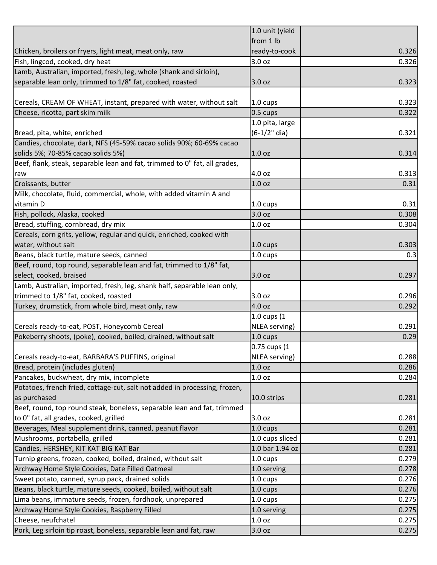|                                                                            | 1.0 unit (yield      |       |
|----------------------------------------------------------------------------|----------------------|-------|
|                                                                            | from 1 lb            |       |
| Chicken, broilers or fryers, light meat, meat only, raw                    | ready-to-cook        | 0.326 |
| Fish, lingcod, cooked, dry heat                                            | 3.0 oz               | 0.326 |
| Lamb, Australian, imported, fresh, leg, whole (shank and sirloin),         |                      |       |
| separable lean only, trimmed to 1/8" fat, cooked, roasted                  | 3.0 oz               | 0.323 |
|                                                                            |                      |       |
| Cereals, CREAM OF WHEAT, instant, prepared with water, without salt        | 1.0 cups             | 0.323 |
| Cheese, ricotta, part skim milk                                            | 0.5 cups             | 0.322 |
|                                                                            | 1.0 pita, large      |       |
| Bread, pita, white, enriched                                               | $(6-1/2"$ dia)       | 0.321 |
| Candies, chocolate, dark, NFS (45-59% cacao solids 90%; 60-69% cacao       |                      |       |
| solids 5%; 70-85% cacao solids 5%)                                         | 1.0 <sub>oz</sub>    | 0.314 |
| Beef, flank, steak, separable lean and fat, trimmed to 0" fat, all grades, |                      |       |
| raw                                                                        | 4.0 oz               | 0.313 |
| Croissants, butter                                                         | 1.0 <sub>oz</sub>    | 0.31  |
| Milk, chocolate, fluid, commercial, whole, with added vitamin A and        |                      |       |
| vitamin D                                                                  | 1.0 cups             | 0.31  |
| Fish, pollock, Alaska, cooked                                              | 3.0 oz               | 0.308 |
| Bread, stuffing, cornbread, dry mix                                        | 1.0 <sub>oz</sub>    | 0.304 |
| Cereals, corn grits, yellow, regular and quick, enriched, cooked with      |                      |       |
| water, without salt                                                        | 1.0 cups             | 0.303 |
| Beans, black turtle, mature seeds, canned                                  | 1.0 cups             | 0.3   |
| Beef, round, top round, separable lean and fat, trimmed to 1/8" fat,       |                      |       |
| select, cooked, braised                                                    | 3.0 oz               | 0.297 |
| Lamb, Australian, imported, fresh, leg, shank half, separable lean only,   |                      |       |
| trimmed to 1/8" fat, cooked, roasted                                       | 3.0 oz               | 0.296 |
| Turkey, drumstick, from whole bird, meat only, raw                         | 4.0 oz               | 0.292 |
|                                                                            | 1.0 cups (1          |       |
| Cereals ready-to-eat, POST, Honeycomb Cereal                               | NLEA serving)        | 0.291 |
| Pokeberry shoots, (poke), cooked, boiled, drained, without salt            | 1.0 cups             | 0.29  |
|                                                                            | 0.75 cups (1         |       |
| Cereals ready-to-eat, BARBARA'S PUFFINS, original                          | <b>NLEA</b> serving) | 0.288 |
| Bread, protein (includes gluten)                                           | 1.0 <sub>oz</sub>    | 0.286 |
|                                                                            |                      |       |
| Pancakes, buckwheat, dry mix, incomplete                                   | 1.0 <sub>oz</sub>    | 0.284 |
| Potatoes, french fried, cottage-cut, salt not added in processing, frozen, |                      |       |
| as purchased                                                               | 10.0 strips          | 0.281 |
| Beef, round, top round steak, boneless, separable lean and fat, trimmed    |                      |       |
| to 0" fat, all grades, cooked, grilled                                     | 3.0 oz               | 0.281 |
| Beverages, Meal supplement drink, canned, peanut flavor                    | 1.0 cups             | 0.281 |
| Mushrooms, portabella, grilled                                             | 1.0 cups sliced      | 0.281 |
| Candies, HERSHEY, KIT KAT BIG KAT Bar                                      | 1.0 bar 1.94 oz      | 0.281 |
| Turnip greens, frozen, cooked, boiled, drained, without salt               | 1.0 cups             | 0.279 |
| Archway Home Style Cookies, Date Filled Oatmeal                            | 1.0 serving          | 0.278 |
| Sweet potato, canned, syrup pack, drained solids                           | 1.0 cups             | 0.276 |
| Beans, black turtle, mature seeds, cooked, boiled, without salt            | 1.0 cups             | 0.276 |
| Lima beans, immature seeds, frozen, fordhook, unprepared                   | 1.0 cups             | 0.275 |
| Archway Home Style Cookies, Raspberry Filled                               | 1.0 serving          | 0.275 |
| Cheese, neufchatel                                                         | 1.0 <sub>oz</sub>    | 0.275 |
| Pork, Leg sirloin tip roast, boneless, separable lean and fat, raw         | 3.0 oz               | 0.275 |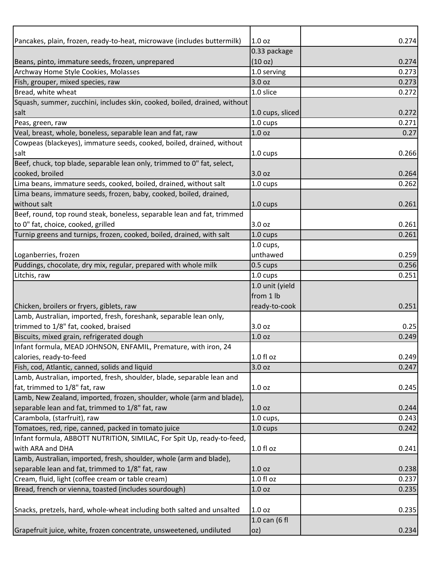| Pancakes, plain, frozen, ready-to-heat, microwave (includes buttermilk)   | 1.0 <sub>oz</sub>      | 0.274 |
|---------------------------------------------------------------------------|------------------------|-------|
|                                                                           | 0.33 package           |       |
| Beans, pinto, immature seeds, frozen, unprepared                          | (10 oz)                | 0.274 |
| Archway Home Style Cookies, Molasses                                      | 1.0 serving            | 0.273 |
| Fish, grouper, mixed species, raw                                         | 3.0 oz                 | 0.273 |
| Bread, white wheat                                                        | 1.0 slice              | 0.272 |
| Squash, summer, zucchini, includes skin, cooked, boiled, drained, without |                        |       |
| salt                                                                      | 1.0 cups, sliced       | 0.272 |
| Peas, green, raw                                                          | $1.0 \text{ cups}$     | 0.271 |
| Veal, breast, whole, boneless, separable lean and fat, raw                | 1.0 <sub>oz</sub>      | 0.27  |
| Cowpeas (blackeyes), immature seeds, cooked, boiled, drained, without     |                        |       |
| salt                                                                      | 1.0 cups               | 0.266 |
| Beef, chuck, top blade, separable lean only, trimmed to 0" fat, select,   |                        |       |
| cooked, broiled                                                           | 3.0 oz                 | 0.264 |
| Lima beans, immature seeds, cooked, boiled, drained, without salt         | 1.0 cups               | 0.262 |
| Lima beans, immature seeds, frozen, baby, cooked, boiled, drained,        |                        |       |
| without salt                                                              | $1.0 \text{ cups}$     | 0.261 |
| Beef, round, top round steak, boneless, separable lean and fat, trimmed   |                        |       |
| to 0" fat, choice, cooked, grilled                                        | 3.0 <sub>oz</sub>      | 0.261 |
| Turnip greens and turnips, frozen, cooked, boiled, drained, with salt     | 1.0 cups               | 0.261 |
|                                                                           | $1.0$ cups,            |       |
| Loganberries, frozen                                                      | unthawed               | 0.259 |
| Puddings, chocolate, dry mix, regular, prepared with whole milk           | 0.5 cups               | 0.256 |
| Litchis, raw                                                              | 1.0 cups               | 0.251 |
|                                                                           | 1.0 unit (yield        |       |
|                                                                           | from 1 lb              |       |
| Chicken, broilers or fryers, giblets, raw                                 | ready-to-cook          | 0.251 |
| Lamb, Australian, imported, fresh, foreshank, separable lean only,        |                        |       |
| trimmed to 1/8" fat, cooked, braised                                      | 3.0 oz                 | 0.25  |
| Biscuits, mixed grain, refrigerated dough                                 | 1.0 <sub>oz</sub>      | 0.249 |
| Infant formula, MEAD JOHNSON, ENFAMIL, Premature, with iron, 24           |                        |       |
| calories, ready-to-feed                                                   | $1.0 f$ l oz           | 0.249 |
| Fish, cod, Atlantic, canned, solids and liquid                            | 3.0 oz                 | 0.247 |
| Lamb, Australian, imported, fresh, shoulder, blade, separable lean and    |                        |       |
| fat, trimmed to 1/8" fat, raw                                             | 1.0 <sub>oz</sub>      | 0.245 |
| Lamb, New Zealand, imported, frozen, shoulder, whole (arm and blade),     |                        |       |
| separable lean and fat, trimmed to 1/8" fat, raw                          | 1.0 <sub>oz</sub>      | 0.244 |
| Carambola, (starfruit), raw                                               | $1.0 \text{ cups}$     | 0.243 |
| Tomatoes, red, ripe, canned, packed in tomato juice                       | 1.0 cups               | 0.242 |
| Infant formula, ABBOTT NUTRITION, SIMILAC, For Spit Up, ready-to-feed,    |                        |       |
| with ARA and DHA                                                          | 1.0 fl oz              | 0.241 |
| Lamb, Australian, imported, fresh, shoulder, whole (arm and blade),       |                        |       |
| separable lean and fat, trimmed to 1/8" fat, raw                          | 1.0 <sub>oz</sub>      |       |
|                                                                           | $\overline{1.0}$ fl oz | 0.238 |
| Cream, fluid, light (coffee cream or table cream)                         |                        | 0.237 |
| Bread, french or vienna, toasted (includes sourdough)                     | 1.0 <sub>oz</sub>      | 0.235 |
|                                                                           |                        |       |
| Snacks, pretzels, hard, whole-wheat including both salted and unsalted    | 1.0 <sub>oz</sub>      | 0.235 |
|                                                                           | 1.0 can (6 fl          |       |
| Grapefruit juice, white, frozen concentrate, unsweetened, undiluted       | oz)                    | 0.234 |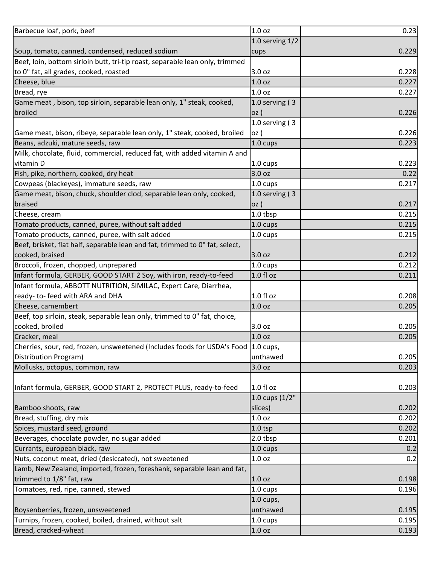| Barbecue loaf, pork, beef                                                    | 1.0 oz             | 0.23  |
|------------------------------------------------------------------------------|--------------------|-------|
|                                                                              | 1.0 serving $1/2$  |       |
| Soup, tomato, canned, condensed, reduced sodium                              | cups               | 0.229 |
| Beef, loin, bottom sirloin butt, tri-tip roast, separable lean only, trimmed |                    |       |
| to 0" fat, all grades, cooked, roasted                                       | 3.0 oz             | 0.228 |
| Cheese, blue                                                                 | 1.0 oz             | 0.227 |
| Bread, rye                                                                   | 1.0 <sub>oz</sub>  | 0.227 |
| Game meat, bison, top sirloin, separable lean only, 1" steak, cooked,        | 1.0 serving $(3)$  |       |
| broiled                                                                      | oz)                | 0.226 |
|                                                                              | 1.0 serving $(3)$  |       |
| Game meat, bison, ribeye, separable lean only, 1" steak, cooked, broiled     | oz)                | 0.226 |
| Beans, adzuki, mature seeds, raw                                             | 1.0 cups           | 0.223 |
| Milk, chocolate, fluid, commercial, reduced fat, with added vitamin A and    |                    |       |
| vitamin D                                                                    | 1.0 cups           | 0.223 |
| Fish, pike, northern, cooked, dry heat                                       | 3.0 oz             | 0.22  |
| Cowpeas (blackeyes), immature seeds, raw                                     | 1.0 cups           | 0.217 |
| Game meat, bison, chuck, shoulder clod, separable lean only, cooked,         | 1.0 serving $(3)$  |       |
| braised                                                                      | oz)                | 0.217 |
| Cheese, cream                                                                | 1.0 tbsp           | 0.215 |
| Tomato products, canned, puree, without salt added                           | 1.0 cups           | 0.215 |
| Tomato products, canned, puree, with salt added                              | 1.0 cups           | 0.215 |
| Beef, brisket, flat half, separable lean and fat, trimmed to 0" fat, select, |                    |       |
| cooked, braised                                                              | 3.0 oz             | 0.212 |
| Broccoli, frozen, chopped, unprepared                                        | 1.0 cups           | 0.212 |
| Infant formula, GERBER, GOOD START 2 Soy, with iron, ready-to-feed           | $1.0 f$ l oz       | 0.211 |
| Infant formula, ABBOTT NUTRITION, SIMILAC, Expert Care, Diarrhea,            |                    |       |
| ready-to-feed with ARA and DHA                                               | 1.0 fl oz          | 0.208 |
| Cheese, camembert                                                            | 1.0 <sub>oz</sub>  | 0.205 |
| Beef, top sirloin, steak, separable lean only, trimmed to 0" fat, choice,    |                    |       |
| cooked, broiled                                                              | 3.0 oz             | 0.205 |
| Cracker, meal                                                                | 1.0 <sub>oz</sub>  | 0.205 |
| Cherries, sour, red, frozen, unsweetened (Includes foods for USDA's Food     | $1.0 \text{ cups}$ |       |
| Distribution Program)                                                        | unthawed           | 0.205 |
| Mollusks, octopus, common, raw                                               | 3.0 oz             | 0.203 |
|                                                                              |                    |       |
| Infant formula, GERBER, GOOD START 2, PROTECT PLUS, ready-to-feed            | 1.0 fl oz          | 0.203 |
|                                                                              | 1.0 cups (1/2"     |       |
| Bamboo shoots, raw                                                           | slices)            | 0.202 |
| Bread, stuffing, dry mix                                                     | 1.0 oz             | 0.202 |
| Spices, mustard seed, ground                                                 | $1.0$ tsp          | 0.202 |
| Beverages, chocolate powder, no sugar added                                  | 2.0 tbsp           | 0.201 |
| Currants, european black, raw                                                | 1.0 cups           | 0.2   |
| Nuts, coconut meat, dried (desiccated), not sweetened                        | 1.0 oz             | 0.2   |
| Lamb, New Zealand, imported, frozen, foreshank, separable lean and fat,      |                    |       |
| trimmed to 1/8" fat, raw                                                     | 1.0 <sub>oz</sub>  | 0.198 |
| Tomatoes, red, ripe, canned, stewed                                          | 1.0 cups           | 0.196 |
|                                                                              | $1.0$ cups,        |       |
| Boysenberries, frozen, unsweetened                                           | unthawed           | 0.195 |
| Turnips, frozen, cooked, boiled, drained, without salt                       | 1.0 cups           | 0.195 |
| Bread, cracked-wheat                                                         | 1.0 oz             | 0.193 |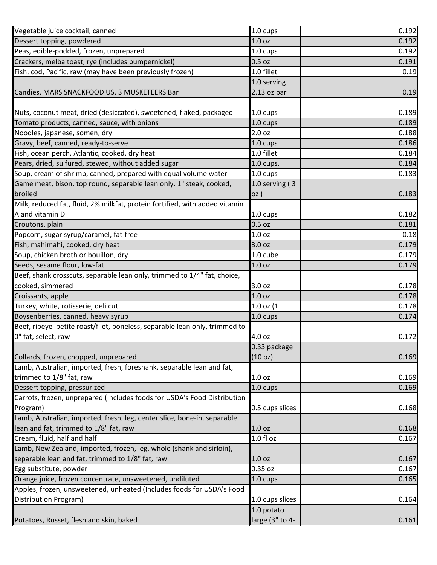| Vegetable juice cocktail, canned                                            | 1.0 cups           | 0.192 |
|-----------------------------------------------------------------------------|--------------------|-------|
| Dessert topping, powdered                                                   | 1.0 oz             | 0.192 |
| Peas, edible-podded, frozen, unprepared                                     | 1.0 cups           | 0.192 |
| Crackers, melba toast, rye (includes pumpernickel)                          | 0.5 oz             | 0.191 |
| Fish, cod, Pacific, raw (may have been previously frozen)                   | 1.0 fillet         | 0.19  |
|                                                                             | 1.0 serving        |       |
| Candies, MARS SNACKFOOD US, 3 MUSKETEERS Bar                                | $2.13$ oz bar      | 0.19  |
|                                                                             |                    |       |
| Nuts, coconut meat, dried (desiccated), sweetened, flaked, packaged         | 1.0 cups           | 0.189 |
| Tomato products, canned, sauce, with onions                                 | 1.0 cups           | 0.189 |
| Noodles, japanese, somen, dry                                               | 2.0 oz             | 0.188 |
| Gravy, beef, canned, ready-to-serve                                         | 1.0 cups           | 0.186 |
| Fish, ocean perch, Atlantic, cooked, dry heat                               | 1.0 fillet         | 0.184 |
| Pears, dried, sulfured, stewed, without added sugar                         | $1.0$ cups,        | 0.184 |
| Soup, cream of shrimp, canned, prepared with equal volume water             | 1.0 cups           | 0.183 |
| Game meat, bison, top round, separable lean only, 1" steak, cooked,         | 1.0 serving $(3)$  |       |
| broiled                                                                     | oz)                | 0.183 |
| Milk, reduced fat, fluid, 2% milkfat, protein fortified, with added vitamin |                    |       |
| A and vitamin D                                                             | 1.0 cups           | 0.182 |
| Croutons, plain                                                             | 0.5 oz             | 0.181 |
| Popcorn, sugar syrup/caramel, fat-free                                      | 1.0 oz             | 0.18  |
| Fish, mahimahi, cooked, dry heat                                            | 3.0 oz             | 0.179 |
| Soup, chicken broth or bouillon, dry                                        | 1.0 cube           | 0.179 |
| Seeds, sesame flour, low-fat                                                | 1.0 <sub>oz</sub>  | 0.179 |
| Beef, shank crosscuts, separable lean only, trimmed to 1/4" fat, choice,    |                    |       |
| cooked, simmered                                                            | 3.0 oz             | 0.178 |
| Croissants, apple                                                           | 1.0 oz             | 0.178 |
| Turkey, white, rotisserie, deli cut                                         | $1.0$ oz $(1)$     | 0.178 |
| Boysenberries, canned, heavy syrup                                          | 1.0 cups           | 0.174 |
| Beef, ribeye petite roast/filet, boneless, separable lean only, trimmed to  |                    |       |
| 0" fat, select, raw                                                         | 4.0 oz             | 0.172 |
|                                                                             | 0.33 package       |       |
| Collards, frozen, chopped, unprepared                                       | (10 oz)            | 0.169 |
| Lamb, Australian, imported, fresh, foreshank, separable lean and fat,       |                    |       |
| trimmed to 1/8" fat, raw                                                    | 1.0 oz             | 0.169 |
| Dessert topping, pressurized                                                | 1.0 cups           | 0.169 |
| Carrots, frozen, unprepared (Includes foods for USDA's Food Distribution    |                    |       |
| Program)                                                                    | 0.5 cups slices    | 0.168 |
| Lamb, Australian, imported, fresh, leg, center slice, bone-in, separable    |                    |       |
| lean and fat, trimmed to 1/8" fat, raw                                      | 1.0 <sub>oz</sub>  | 0.168 |
| Cream, fluid, half and half                                                 | 1.0 fl oz          | 0.167 |
| Lamb, New Zealand, imported, frozen, leg, whole (shank and sirloin),        |                    |       |
| separable lean and fat, trimmed to 1/8" fat, raw                            | 1.0 oz             | 0.167 |
| Egg substitute, powder                                                      | 0.35 oz            | 0.167 |
| Orange juice, frozen concentrate, unsweetened, undiluted                    | $1.0 \text{ cups}$ | 0.165 |
| Apples, frozen, unsweetened, unheated (Includes foods for USDA's Food       |                    |       |
| Distribution Program)                                                       | 1.0 cups slices    | 0.164 |
|                                                                             | 1.0 potato         |       |
| Potatoes, Russet, flesh and skin, baked                                     | large (3" to 4-    | 0.161 |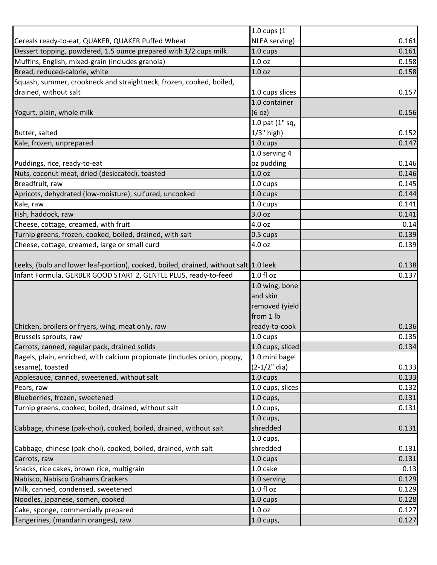|                                                                                      | 1.0 cups (1        |       |
|--------------------------------------------------------------------------------------|--------------------|-------|
| Cereals ready-to-eat, QUAKER, QUAKER Puffed Wheat                                    | NLEA serving)      | 0.161 |
| Dessert topping, powdered, 1.5 ounce prepared with 1/2 cups milk                     | 1.0 cups           | 0.161 |
| Muffins, English, mixed-grain (includes granola)                                     | 1.0 <sub>oz</sub>  | 0.158 |
| Bread, reduced-calorie, white                                                        | 1.0 <sub>oz</sub>  | 0.158 |
| Squash, summer, crookneck and straightneck, frozen, cooked, boiled,                  |                    |       |
| drained, without salt                                                                | 1.0 cups slices    | 0.157 |
|                                                                                      | 1.0 container      |       |
| Yogurt, plain, whole milk                                                            | (6 oz)             | 0.156 |
|                                                                                      | 1.0 pat (1" sq,    |       |
| Butter, salted                                                                       | $1/3$ " high)      | 0.152 |
| Kale, frozen, unprepared                                                             | 1.0 cups           | 0.147 |
|                                                                                      | 1.0 serving 4      |       |
| Puddings, rice, ready-to-eat                                                         | oz pudding         | 0.146 |
| Nuts, coconut meat, dried (desiccated), toasted                                      | 1.0 <sub>oz</sub>  | 0.146 |
| Breadfruit, raw                                                                      | 1.0 cups           | 0.145 |
| Apricots, dehydrated (low-moisture), sulfured, uncooked                              | 1.0 cups           | 0.144 |
| Kale, raw                                                                            | 1.0 cups           | 0.141 |
| Fish, haddock, raw                                                                   | 3.0 oz             | 0.141 |
| Cheese, cottage, creamed, with fruit                                                 | 4.0 oz             | 0.14  |
| Turnip greens, frozen, cooked, boiled, drained, with salt                            | $0.5 \text{ cups}$ | 0.139 |
| Cheese, cottage, creamed, large or small curd                                        | 4.0 oz             | 0.139 |
|                                                                                      |                    |       |
| Leeks, (bulb and lower leaf-portion), cooked, boiled, drained, without salt 1.0 leek |                    | 0.138 |
| Infant Formula, GERBER GOOD START 2, GENTLE PLUS, ready-to-feed                      | $1.0 f$ l oz       | 0.137 |
|                                                                                      | 1.0 wing, bone     |       |
|                                                                                      | and skin           |       |
|                                                                                      | removed (yield     |       |
|                                                                                      | from 1 lb          |       |
| Chicken, broilers or fryers, wing, meat only, raw                                    | ready-to-cook      | 0.136 |
| Brussels sprouts, raw                                                                | 1.0 cups           | 0.135 |
| Carrots, canned, regular pack, drained solids                                        | 1.0 cups, sliced   | 0.134 |
| Bagels, plain, enriched, with calcium propionate (includes onion, poppy,             | 1.0 mini bagel     |       |
| sesame), toasted                                                                     | $(2-1/2"$ dia)     | 0.133 |
| Applesauce, canned, sweetened, without salt                                          | 1.0 cups           | 0.133 |
| Pears, raw                                                                           | 1.0 cups, slices   | 0.132 |
| Blueberries, frozen, sweetened                                                       | $1.0$ cups,        | 0.131 |
| Turnip greens, cooked, boiled, drained, without salt                                 | $1.0$ cups,        | 0.131 |
|                                                                                      | $1.0$ cups,        |       |
| Cabbage, chinese (pak-choi), cooked, boiled, drained, without salt                   | shredded           | 0.131 |
|                                                                                      | $1.0$ cups,        |       |
| Cabbage, chinese (pak-choi), cooked, boiled, drained, with salt                      | shredded           | 0.131 |
| Carrots, raw                                                                         | 1.0 cups           | 0.131 |
| Snacks, rice cakes, brown rice, multigrain                                           | 1.0 cake           | 0.13  |
| Nabisco, Nabisco Grahams Crackers                                                    | 1.0 serving        | 0.129 |
| Milk, canned, condensed, sweetened                                                   | $1.0 f$ l oz       | 0.129 |
| Noodles, japanese, somen, cooked                                                     | 1.0 cups           | 0.128 |
| Cake, sponge, commercially prepared                                                  | 1.0 <sub>oz</sub>  | 0.127 |
| Tangerines, (mandarin oranges), raw                                                  | 1.0 cups,          | 0.127 |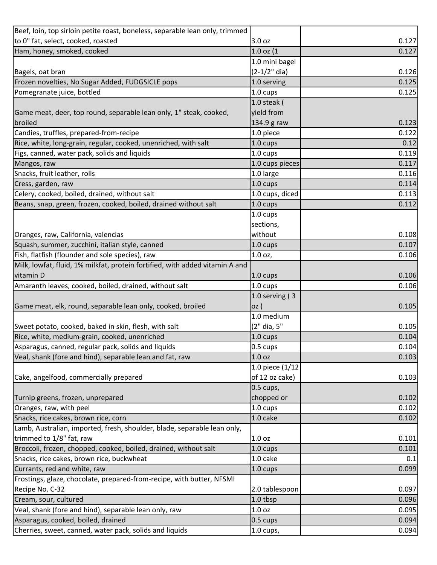| Beef, loin, top sirloin petite roast, boneless, separable lean only, trimmed |                   |       |
|------------------------------------------------------------------------------|-------------------|-------|
| to 0" fat, select, cooked, roasted                                           | 3.0 oz            | 0.127 |
| Ham, honey, smoked, cooked                                                   | $1.0$ oz $(1)$    | 0.127 |
|                                                                              | 1.0 mini bagel    |       |
| Bagels, oat bran                                                             | $(2-1/2"$ dia)    | 0.126 |
| Frozen novelties, No Sugar Added, FUDGSICLE pops                             | 1.0 serving       | 0.125 |
| Pomegranate juice, bottled                                                   | 1.0 cups          | 0.125 |
|                                                                              | 1.0 steak $($     |       |
| Game meat, deer, top round, separable lean only, 1" steak, cooked,           | yield from        |       |
| broiled                                                                      | 134.9 g raw       | 0.123 |
| Candies, truffles, prepared-from-recipe                                      | 1.0 piece         | 0.122 |
| Rice, white, long-grain, regular, cooked, unenriched, with salt              | 1.0 cups          | 0.12  |
| Figs, canned, water pack, solids and liquids                                 | 1.0 cups          | 0.119 |
| Mangos, raw                                                                  | 1.0 cups pieces   | 0.117 |
| Snacks, fruit leather, rolls                                                 | 1.0 large         | 0.116 |
| Cress, garden, raw                                                           | 1.0 cups          | 0.114 |
| Celery, cooked, boiled, drained, without salt                                | 1.0 cups, diced   | 0.113 |
| Beans, snap, green, frozen, cooked, boiled, drained without salt             | 1.0 cups          | 0.112 |
|                                                                              | 1.0 cups          |       |
|                                                                              | sections,         |       |
| Oranges, raw, California, valencias                                          | without           | 0.108 |
| Squash, summer, zucchini, italian style, canned                              | 1.0 cups          | 0.107 |
| Fish, flatfish (flounder and sole species), raw                              | 1.0 oz,           | 0.106 |
| Milk, lowfat, fluid, 1% milkfat, protein fortified, with added vitamin A and |                   |       |
| vitamin D                                                                    | 1.0 cups          | 0.106 |
| Amaranth leaves, cooked, boiled, drained, without salt                       | 1.0 cups          | 0.106 |
|                                                                              | 1.0 serving $(3)$ |       |
| Game meat, elk, round, separable lean only, cooked, broiled                  | $OZ$ )            | 0.105 |
|                                                                              | 1.0 medium        |       |
| Sweet potato, cooked, baked in skin, flesh, with salt                        | (2" dia, 5"       | 0.105 |
| Rice, white, medium-grain, cooked, unenriched                                | 1.0 cups          | 0.104 |
| Asparagus, canned, regular pack, solids and liquids                          | 0.5 cups          | 0.104 |
| Veal, shank (fore and hind), separable lean and fat, raw                     | 1.0 <sub>oz</sub> | 0.103 |
|                                                                              | 1.0 piece (1/12   |       |
| Cake, angelfood, commercially prepared                                       | of 12 oz cake)    | 0.103 |
|                                                                              | 0.5 cups,         |       |
| Turnip greens, frozen, unprepared                                            | chopped or        | 0.102 |
| Oranges, raw, with peel                                                      | 1.0 cups          | 0.102 |
| Snacks, rice cakes, brown rice, corn                                         | 1.0 cake          | 0.102 |
| Lamb, Australian, imported, fresh, shoulder, blade, separable lean only,     |                   |       |
| trimmed to 1/8" fat, raw                                                     | 1.0 <sub>oz</sub> | 0.101 |
| Broccoli, frozen, chopped, cooked, boiled, drained, without salt             | 1.0 cups          | 0.101 |
| Snacks, rice cakes, brown rice, buckwheat                                    | 1.0 cake          | 0.1   |
| Currants, red and white, raw                                                 | 1.0 cups          | 0.099 |
| Frostings, glaze, chocolate, prepared-from-recipe, with butter, NFSMI        |                   |       |
| Recipe No. C-32                                                              | 2.0 tablespoon    | 0.097 |
| Cream, sour, cultured                                                        | 1.0 tbsp          | 0.096 |
| Veal, shank (fore and hind), separable lean only, raw                        | 1.0 oz            | 0.095 |
| Asparagus, cooked, boiled, drained                                           | 0.5 cups          | 0.094 |
| Cherries, sweet, canned, water pack, solids and liquids                      | $1.0$ cups,       | 0.094 |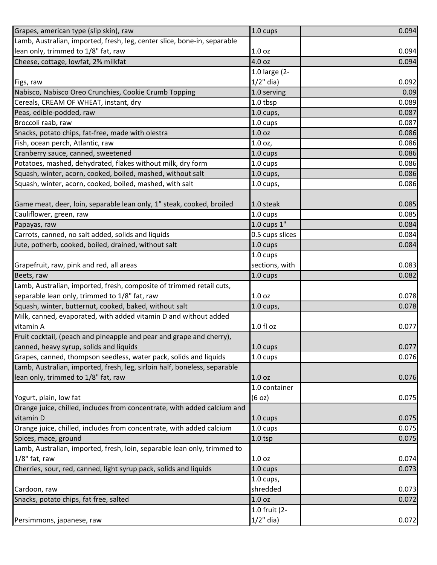| Grapes, american type (slip skin), raw                                    | 1.0 cups           | 0.094 |
|---------------------------------------------------------------------------|--------------------|-------|
| Lamb, Australian, imported, fresh, leg, center slice, bone-in, separable  |                    |       |
| lean only, trimmed to 1/8" fat, raw                                       | 1.0 oz             | 0.094 |
| Cheese, cottage, lowfat, 2% milkfat                                       | 4.0 oz             | 0.094 |
|                                                                           | 1.0 large (2-      |       |
| Figs, raw                                                                 | $1/2$ " dia)       | 0.092 |
| Nabisco, Nabisco Oreo Crunchies, Cookie Crumb Topping                     | 1.0 serving        | 0.09  |
| Cereals, CREAM OF WHEAT, instant, dry                                     | 1.0 tbsp           | 0.089 |
| Peas, edible-podded, raw                                                  | $1.0$ cups,        | 0.087 |
| Broccoli raab, raw                                                        | 1.0 cups           | 0.087 |
| Snacks, potato chips, fat-free, made with olestra                         | 1.0 oz             | 0.086 |
| Fish, ocean perch, Atlantic, raw                                          | 1.0 oz,            | 0.086 |
| Cranberry sauce, canned, sweetened                                        | 1.0 cups           | 0.086 |
| Potatoes, mashed, dehydrated, flakes without milk, dry form               | 1.0 cups           | 0.086 |
| Squash, winter, acorn, cooked, boiled, mashed, without salt               | $1.0$ cups,        | 0.086 |
| Squash, winter, acorn, cooked, boiled, mashed, with salt                  | $1.0$ cups,        | 0.086 |
|                                                                           |                    |       |
| Game meat, deer, loin, separable lean only, 1" steak, cooked, broiled     | 1.0 steak          | 0.085 |
| Cauliflower, green, raw                                                   | 1.0 cups           | 0.085 |
| Papayas, raw                                                              | $1.0$ cups $1"$    | 0.084 |
| Carrots, canned, no salt added, solids and liquids                        | 0.5 cups slices    | 0.084 |
| Jute, potherb, cooked, boiled, drained, without salt                      | 1.0 cups           | 0.084 |
|                                                                           | 1.0 cups           |       |
| Grapefruit, raw, pink and red, all areas                                  | sections, with     | 0.083 |
| Beets, raw                                                                | 1.0 cups           | 0.082 |
| Lamb, Australian, imported, fresh, composite of trimmed retail cuts,      |                    |       |
| separable lean only, trimmed to 1/8" fat, raw                             | 1.0 oz             | 0.078 |
| Squash, winter, butternut, cooked, baked, without salt                    | $1.0$ cups,        | 0.078 |
| Milk, canned, evaporated, with added vitamin D and without added          |                    |       |
| vitamin A                                                                 | 1.0 fl oz          | 0.077 |
| Fruit cocktail, (peach and pineapple and pear and grape and cherry),      |                    |       |
| canned, heavy syrup, solids and liquids                                   | $1.0 \text{ cups}$ | 0.077 |
| Grapes, canned, thompson seedless, water pack, solids and liquids         | 1.0 cups           | 0.076 |
| Lamb, Australian, imported, fresh, leg, sirloin half, boneless, separable |                    |       |
| lean only, trimmed to 1/8" fat, raw                                       | 1.0 <sub>oz</sub>  | 0.076 |
|                                                                           | 1.0 container      |       |
| Yogurt, plain, low fat                                                    | (6 oz)             | 0.075 |
| Orange juice, chilled, includes from concentrate, with added calcium and  |                    |       |
| vitamin D                                                                 | $1.0 \text{ cups}$ | 0.075 |
| Orange juice, chilled, includes from concentrate, with added calcium      | 1.0 cups           | 0.075 |
| Spices, mace, ground                                                      | $1.0$ tsp          | 0.075 |
| Lamb, Australian, imported, fresh, loin, separable lean only, trimmed to  |                    |       |
| 1/8" fat, raw                                                             | 1.0 <sub>oz</sub>  | 0.074 |
| Cherries, sour, red, canned, light syrup pack, solids and liquids         | 1.0 cups           | 0.073 |
|                                                                           | $1.0$ cups,        |       |
| Cardoon, raw                                                              | shredded           | 0.073 |
| Snacks, potato chips, fat free, salted                                    | 1.0 <sub>oz</sub>  | 0.072 |
|                                                                           | 1.0 fruit (2-      |       |
| Persimmons, japanese, raw                                                 | $1/2$ " dia)       | 0.072 |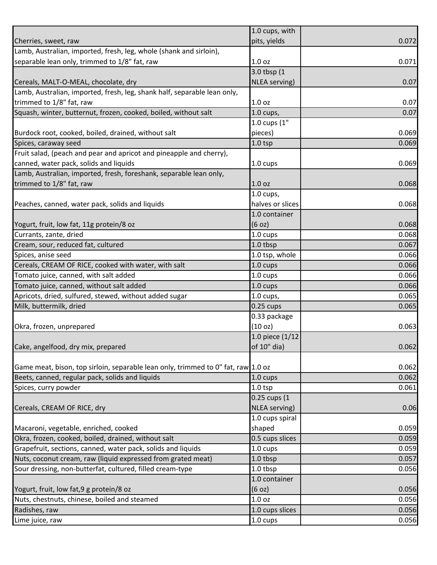|                                                                                   | 1.0 cups, with     |       |
|-----------------------------------------------------------------------------------|--------------------|-------|
| Cherries, sweet, raw                                                              | pits, yields       | 0.072 |
| Lamb, Australian, imported, fresh, leg, whole (shank and sirloin),                |                    |       |
| separable lean only, trimmed to 1/8" fat, raw                                     | 1.0 <sub>oz</sub>  | 0.071 |
|                                                                                   | 3.0 tbsp (1        |       |
| Cereals, MALT-O-MEAL, chocolate, dry                                              | NLEA serving)      | 0.07  |
| Lamb, Australian, imported, fresh, leg, shank half, separable lean only,          |                    |       |
| trimmed to 1/8" fat, raw                                                          | 1.0 oz             | 0.07  |
| Squash, winter, butternut, frozen, cooked, boiled, without salt                   | $1.0$ cups,        | 0.07  |
|                                                                                   | 1.0 cups (1"       |       |
| Burdock root, cooked, boiled, drained, without salt                               | pieces)            | 0.069 |
| Spices, caraway seed                                                              | $1.0$ tsp          | 0.069 |
| Fruit salad, (peach and pear and apricot and pineapple and cherry),               |                    |       |
| canned, water pack, solids and liquids                                            | 1.0 cups           | 0.069 |
| Lamb, Australian, imported, fresh, foreshank, separable lean only,                |                    |       |
| trimmed to 1/8" fat, raw                                                          | 1.0 <sub>oz</sub>  | 0.068 |
|                                                                                   | $1.0$ cups,        |       |
| Peaches, canned, water pack, solids and liquids                                   | halves or slices   | 0.068 |
|                                                                                   | 1.0 container      |       |
| Yogurt, fruit, low fat, 11g protein/8 oz                                          | (6 oz)             | 0.068 |
| Currants, zante, dried                                                            | 1.0 cups           | 0.068 |
| Cream, sour, reduced fat, cultured                                                | 1.0 tbsp           | 0.067 |
| Spices, anise seed                                                                | 1.0 tsp, whole     | 0.066 |
| Cereals, CREAM OF RICE, cooked with water, with salt                              | 1.0 cups           | 0.066 |
| Tomato juice, canned, with salt added                                             | 1.0 cups           | 0.066 |
| Tomato juice, canned, without salt added                                          | 1.0 cups           | 0.066 |
| Apricots, dried, sulfured, stewed, without added sugar                            | $1.0$ cups,        | 0.065 |
| Milk, buttermilk, dried                                                           | $0.25$ cups        | 0.065 |
|                                                                                   | 0.33 package       |       |
| Okra, frozen, unprepared                                                          | (10 oz)            | 0.063 |
|                                                                                   | 1.0 piece (1/12    |       |
| Cake, angelfood, dry mix, prepared                                                | of 10" dia)        | 0.062 |
|                                                                                   |                    |       |
| Game meat, bison, top sirloin, separable lean only, trimmed to 0" fat, raw 1.0 oz |                    | 0.062 |
| Beets, canned, regular pack, solids and liquids                                   | $1.0 \text{ cups}$ | 0.062 |
| Spices, curry powder                                                              | $1.0$ tsp          | 0.061 |
|                                                                                   | 0.25 cups (1       |       |
| Cereals, CREAM OF RICE, dry                                                       | NLEA serving)      | 0.06  |
|                                                                                   | 1.0 cups spiral    |       |
| Macaroni, vegetable, enriched, cooked                                             | shaped             | 0.059 |
| Okra, frozen, cooked, boiled, drained, without salt                               | 0.5 cups slices    | 0.059 |
| Grapefruit, sections, canned, water pack, solids and liquids                      | 1.0 cups           | 0.059 |
| Nuts, coconut cream, raw (liquid expressed from grated meat)                      | 1.0 tbsp           | 0.057 |
| Sour dressing, non-butterfat, cultured, filled cream-type                         | 1.0 tbsp           | 0.056 |
|                                                                                   | 1.0 container      |       |
| Yogurt, fruit, low fat, 9 g protein/8 oz                                          | (6 oz)             | 0.056 |
| Nuts, chestnuts, chinese, boiled and steamed                                      | 1.0 oz             | 0.056 |
| Radishes, raw                                                                     | 1.0 cups slices    | 0.056 |
| Lime juice, raw                                                                   | 1.0 cups           | 0.056 |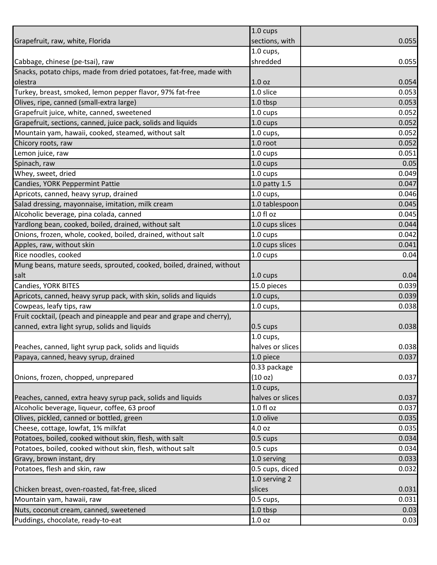|                                                                      | 1.0 cups          |       |
|----------------------------------------------------------------------|-------------------|-------|
| Grapefruit, raw, white, Florida                                      | sections, with    | 0.055 |
|                                                                      | $1.0$ cups,       |       |
| Cabbage, chinese (pe-tsai), raw                                      | shredded          | 0.055 |
| Snacks, potato chips, made from dried potatoes, fat-free, made with  |                   |       |
| olestra                                                              | 1.0 <sub>oz</sub> | 0.054 |
| Turkey, breast, smoked, lemon pepper flavor, 97% fat-free            | 1.0 slice         | 0.053 |
| Olives, ripe, canned (small-extra large)                             | 1.0 tbsp          | 0.053 |
| Grapefruit juice, white, canned, sweetened                           | 1.0 cups          | 0.052 |
| Grapefruit, sections, canned, juice pack, solids and liquids         | 1.0 cups          | 0.052 |
| Mountain yam, hawaii, cooked, steamed, without salt                  | $1.0$ cups,       | 0.052 |
| Chicory roots, raw                                                   | 1.0 root          | 0.052 |
| Lemon juice, raw                                                     | 1.0 cups          | 0.051 |
| Spinach, raw                                                         | 1.0 cups          | 0.05  |
| Whey, sweet, dried                                                   | 1.0 cups          | 0.049 |
| Candies, YORK Peppermint Pattie                                      | 1.0 patty 1.5     | 0.047 |
| Apricots, canned, heavy syrup, drained                               | $1.0$ cups,       | 0.046 |
| Salad dressing, mayonnaise, imitation, milk cream                    | 1.0 tablespoon    | 0.045 |
| Alcoholic beverage, pina colada, canned                              | 1.0 fl oz         | 0.045 |
| Yardlong bean, cooked, boiled, drained, without salt                 | 1.0 cups slices   | 0.044 |
| Onions, frozen, whole, cooked, boiled, drained, without salt         | 1.0 cups          | 0.042 |
| Apples, raw, without skin                                            | 1.0 cups slices   | 0.041 |
| Rice noodles, cooked                                                 | 1.0 cups          | 0.04  |
| Mung beans, mature seeds, sprouted, cooked, boiled, drained, without |                   |       |
| salt                                                                 | 1.0 cups          | 0.04  |
| Candies, YORK BITES                                                  | 15.0 pieces       | 0.039 |
| Apricots, canned, heavy syrup pack, with skin, solids and liquids    | $1.0$ cups,       | 0.039 |
| Cowpeas, leafy tips, raw                                             | $1.0$ cups,       | 0.038 |
| Fruit cocktail, (peach and pineapple and pear and grape and cherry), |                   |       |
| canned, extra light syrup, solids and liquids                        | 0.5 cups          | 0.038 |
|                                                                      | $1.0$ cups,       |       |
| Peaches, canned, light syrup pack, solids and liquids                | halves or slices  | 0.038 |
| Papaya, canned, heavy syrup, drained                                 | 1.0 piece         | 0.037 |
|                                                                      | 0.33 package      |       |
| Onions, frozen, chopped, unprepared                                  | (10 oz)           | 0.037 |
|                                                                      | $1.0$ cups,       |       |
| Peaches, canned, extra heavy syrup pack, solids and liquids          | halves or slices  | 0.037 |
| Alcoholic beverage, liqueur, coffee, 63 proof                        | $1.0 f$ l oz      | 0.037 |
| Olives, pickled, canned or bottled, green                            | 1.0 olive         | 0.035 |
| Cheese, cottage, lowfat, 1% milkfat                                  | 4.0 oz            | 0.035 |
| Potatoes, boiled, cooked without skin, flesh, with salt              | 0.5 cups          | 0.034 |
| Potatoes, boiled, cooked without skin, flesh, without salt           | 0.5 cups          | 0.034 |
| Gravy, brown instant, dry                                            | 1.0 serving       | 0.033 |
| Potatoes, flesh and skin, raw                                        | 0.5 cups, diced   | 0.032 |
|                                                                      | 1.0 serving 2     |       |
| Chicken breast, oven-roasted, fat-free, sliced                       | slices            | 0.031 |
| Mountain yam, hawaii, raw                                            | 0.5 cups,         | 0.031 |
| Nuts, coconut cream, canned, sweetened                               | 1.0 tbsp          | 0.03  |
| Puddings, chocolate, ready-to-eat                                    | 1.0 oz            | 0.03  |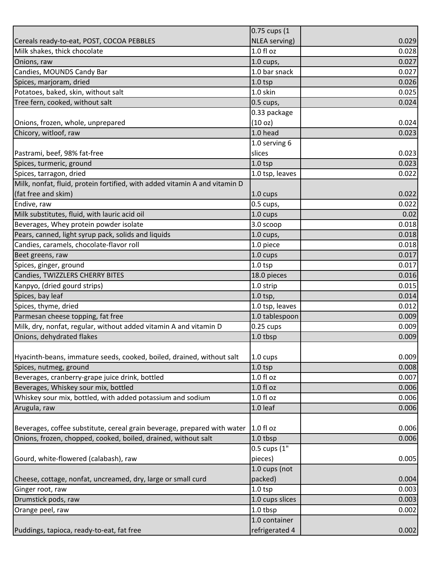| NLEA serving)<br>Cereals ready-to-eat, POST, COCOA PEBBLES<br>$1.0 f$ l oz<br>Milk shakes, thick chocolate<br>1.0 cups,<br>Onions, raw<br>1.0 bar snack<br>Candies, MOUNDS Candy Bar<br>Spices, marjoram, dried<br>$1.0$ tsp<br>Potatoes, baked, skin, without salt<br>1.0 skin<br>Tree fern, cooked, without salt<br>$0.5$ cups,<br>0.33 package<br>(10 oz)<br>Onions, frozen, whole, unprepared<br>1.0 head<br>Chicory, witloof, raw<br>1.0 serving 6<br>Pastrami, beef, 98% fat-free<br>slices<br>$1.0$ tsp<br>Spices, turmeric, ground<br>1.0 tsp, leaves<br>Spices, tarragon, dried<br>Milk, nonfat, fluid, protein fortified, with added vitamin A and vitamin D |                     | 0.75 cups (1 |       |
|------------------------------------------------------------------------------------------------------------------------------------------------------------------------------------------------------------------------------------------------------------------------------------------------------------------------------------------------------------------------------------------------------------------------------------------------------------------------------------------------------------------------------------------------------------------------------------------------------------------------------------------------------------------------|---------------------|--------------|-------|
|                                                                                                                                                                                                                                                                                                                                                                                                                                                                                                                                                                                                                                                                        |                     |              | 0.029 |
|                                                                                                                                                                                                                                                                                                                                                                                                                                                                                                                                                                                                                                                                        |                     |              | 0.028 |
|                                                                                                                                                                                                                                                                                                                                                                                                                                                                                                                                                                                                                                                                        |                     |              | 0.027 |
|                                                                                                                                                                                                                                                                                                                                                                                                                                                                                                                                                                                                                                                                        |                     |              | 0.027 |
|                                                                                                                                                                                                                                                                                                                                                                                                                                                                                                                                                                                                                                                                        |                     |              | 0.026 |
|                                                                                                                                                                                                                                                                                                                                                                                                                                                                                                                                                                                                                                                                        |                     |              | 0.025 |
|                                                                                                                                                                                                                                                                                                                                                                                                                                                                                                                                                                                                                                                                        |                     |              | 0.024 |
|                                                                                                                                                                                                                                                                                                                                                                                                                                                                                                                                                                                                                                                                        |                     |              |       |
|                                                                                                                                                                                                                                                                                                                                                                                                                                                                                                                                                                                                                                                                        |                     |              | 0.024 |
|                                                                                                                                                                                                                                                                                                                                                                                                                                                                                                                                                                                                                                                                        |                     |              | 0.023 |
|                                                                                                                                                                                                                                                                                                                                                                                                                                                                                                                                                                                                                                                                        |                     |              |       |
|                                                                                                                                                                                                                                                                                                                                                                                                                                                                                                                                                                                                                                                                        |                     |              | 0.023 |
|                                                                                                                                                                                                                                                                                                                                                                                                                                                                                                                                                                                                                                                                        |                     |              | 0.023 |
|                                                                                                                                                                                                                                                                                                                                                                                                                                                                                                                                                                                                                                                                        |                     |              | 0.022 |
|                                                                                                                                                                                                                                                                                                                                                                                                                                                                                                                                                                                                                                                                        |                     |              |       |
|                                                                                                                                                                                                                                                                                                                                                                                                                                                                                                                                                                                                                                                                        | (fat free and skim) | 1.0 cups     | 0.022 |
| Endive, raw<br>0.5 cups,                                                                                                                                                                                                                                                                                                                                                                                                                                                                                                                                                                                                                                               |                     |              | 0.022 |
| Milk substitutes, fluid, with lauric acid oil<br>1.0 cups                                                                                                                                                                                                                                                                                                                                                                                                                                                                                                                                                                                                              |                     |              | 0.02  |
| Beverages, Whey protein powder isolate<br>3.0 scoop                                                                                                                                                                                                                                                                                                                                                                                                                                                                                                                                                                                                                    |                     |              | 0.018 |
| Pears, canned, light syrup pack, solids and liquids<br>$1.0$ cups,                                                                                                                                                                                                                                                                                                                                                                                                                                                                                                                                                                                                     |                     |              | 0.018 |
| Candies, caramels, chocolate-flavor roll<br>1.0 piece                                                                                                                                                                                                                                                                                                                                                                                                                                                                                                                                                                                                                  |                     |              | 0.018 |
| 1.0 cups<br>Beet greens, raw                                                                                                                                                                                                                                                                                                                                                                                                                                                                                                                                                                                                                                           |                     |              | 0.017 |
| $1.0$ tsp<br>Spices, ginger, ground                                                                                                                                                                                                                                                                                                                                                                                                                                                                                                                                                                                                                                    |                     |              | 0.017 |
| Candies, TWIZZLERS CHERRY BITES<br>18.0 pieces                                                                                                                                                                                                                                                                                                                                                                                                                                                                                                                                                                                                                         |                     |              | 0.016 |
| Kanpyo, (dried gourd strips)<br>1.0 strip                                                                                                                                                                                                                                                                                                                                                                                                                                                                                                                                                                                                                              |                     |              | 0.015 |
| Spices, bay leaf<br>$1.0$ tsp,                                                                                                                                                                                                                                                                                                                                                                                                                                                                                                                                                                                                                                         |                     |              | 0.014 |
| Spices, thyme, dried<br>1.0 tsp, leaves                                                                                                                                                                                                                                                                                                                                                                                                                                                                                                                                                                                                                                |                     |              | 0.012 |
| 1.0 tablespoon<br>Parmesan cheese topping, fat free                                                                                                                                                                                                                                                                                                                                                                                                                                                                                                                                                                                                                    |                     |              | 0.009 |
| Milk, dry, nonfat, regular, without added vitamin A and vitamin D<br>$0.25$ cups                                                                                                                                                                                                                                                                                                                                                                                                                                                                                                                                                                                       |                     |              | 0.009 |
| Onions, dehydrated flakes<br>1.0 tbsp                                                                                                                                                                                                                                                                                                                                                                                                                                                                                                                                                                                                                                  |                     |              | 0.009 |
|                                                                                                                                                                                                                                                                                                                                                                                                                                                                                                                                                                                                                                                                        |                     |              |       |
| Hyacinth-beans, immature seeds, cooked, boiled, drained, without salt<br>1.0 cups                                                                                                                                                                                                                                                                                                                                                                                                                                                                                                                                                                                      |                     |              | 0.009 |
| Spices, nutmeg, ground<br>$1.0$ tsp                                                                                                                                                                                                                                                                                                                                                                                                                                                                                                                                                                                                                                    |                     |              | 0.008 |
| Beverages, cranberry-grape juice drink, bottled<br>1.0 fl oz                                                                                                                                                                                                                                                                                                                                                                                                                                                                                                                                                                                                           |                     |              | 0.007 |
| $1.0 f$ l oz<br>Beverages, Whiskey sour mix, bottled                                                                                                                                                                                                                                                                                                                                                                                                                                                                                                                                                                                                                   |                     |              | 0.006 |
| Whiskey sour mix, bottled, with added potassium and sodium<br>1.0 fl oz                                                                                                                                                                                                                                                                                                                                                                                                                                                                                                                                                                                                |                     |              | 0.006 |
| 1.0 leaf<br>Arugula, raw                                                                                                                                                                                                                                                                                                                                                                                                                                                                                                                                                                                                                                               |                     |              | 0.006 |
|                                                                                                                                                                                                                                                                                                                                                                                                                                                                                                                                                                                                                                                                        |                     |              |       |
| 1.0 fl oz<br>Beverages, coffee substitute, cereal grain beverage, prepared with water                                                                                                                                                                                                                                                                                                                                                                                                                                                                                                                                                                                  |                     |              | 0.006 |
| Onions, frozen, chopped, cooked, boiled, drained, without salt<br>1.0 tbsp                                                                                                                                                                                                                                                                                                                                                                                                                                                                                                                                                                                             |                     |              | 0.006 |
| 0.5 cups (1"                                                                                                                                                                                                                                                                                                                                                                                                                                                                                                                                                                                                                                                           |                     |              |       |
| Gourd, white-flowered (calabash), raw<br>pieces)                                                                                                                                                                                                                                                                                                                                                                                                                                                                                                                                                                                                                       |                     |              | 0.005 |
| 1.0 cups (not                                                                                                                                                                                                                                                                                                                                                                                                                                                                                                                                                                                                                                                          |                     |              |       |
| packed)<br>Cheese, cottage, nonfat, uncreamed, dry, large or small curd                                                                                                                                                                                                                                                                                                                                                                                                                                                                                                                                                                                                |                     |              | 0.004 |
| Ginger root, raw<br>$1.0$ tsp                                                                                                                                                                                                                                                                                                                                                                                                                                                                                                                                                                                                                                          |                     |              | 0.003 |
| 1.0 cups slices<br>Drumstick pods, raw                                                                                                                                                                                                                                                                                                                                                                                                                                                                                                                                                                                                                                 |                     |              | 0.003 |
| 1.0 tbsp<br>Orange peel, raw                                                                                                                                                                                                                                                                                                                                                                                                                                                                                                                                                                                                                                           |                     |              | 0.002 |
| 1.0 container                                                                                                                                                                                                                                                                                                                                                                                                                                                                                                                                                                                                                                                          |                     |              |       |
| refrigerated 4<br>Puddings, tapioca, ready-to-eat, fat free                                                                                                                                                                                                                                                                                                                                                                                                                                                                                                                                                                                                            |                     |              | 0.002 |